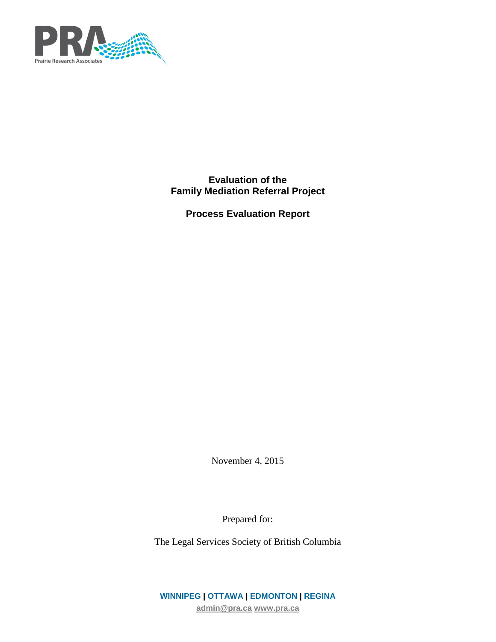

**Evaluation of the Family Mediation Referral Project**

**Process Evaluation Report**

November 4, 2015

Prepared for:

The Legal Services Society of British Columbia

**WINNIPEG | OTTAWA | EDMONTON | REGINA [admin@pra.ca](mailto:admin@pra.ca) [www.pra.ca](http://www.pra.ca/)**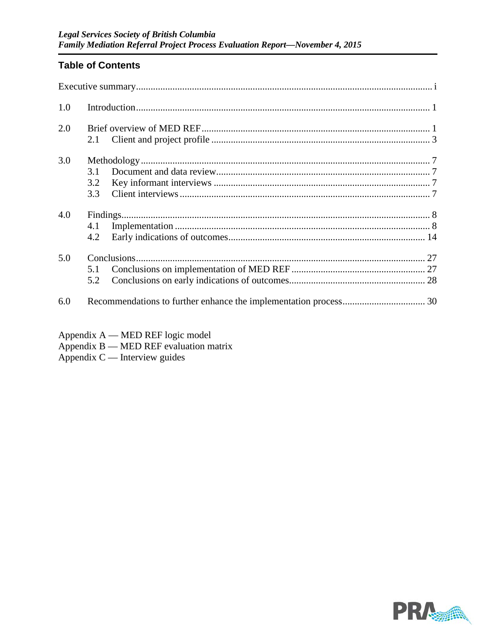# **Table of Contents**

| 1.0 |                   |  |
|-----|-------------------|--|
| 2.0 | 2.1               |  |
| 3.0 | 3.1<br>3.2<br>3.3 |  |
| 4.0 | 4.1<br>4.2        |  |
| 5.0 | 5.1<br>5.2        |  |
| 6.0 |                   |  |

- Appendix  $A$  MED REF logic model
- Appendix B MED REF evaluation matrix<br>Appendix C Interview guides

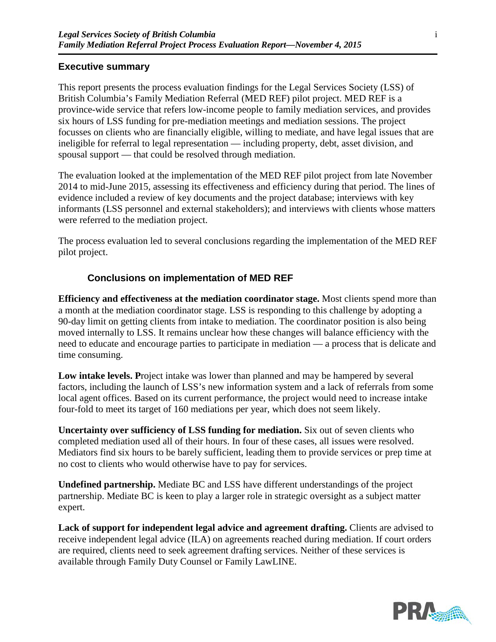## **Executive summary**

This report presents the process evaluation findings for the Legal Services Society (LSS) of British Columbia's Family Mediation Referral (MED REF) pilot project. MED REF is a province-wide service that refers low-income people to family mediation services, and provides six hours of LSS funding for pre-mediation meetings and mediation sessions. The project focusses on clients who are financially eligible, willing to mediate, and have legal issues that are ineligible for referral to legal representation — including property, debt, asset division, and spousal support — that could be resolved through mediation.

The evaluation looked at the implementation of the MED REF pilot project from late November 2014 to mid-June 2015, assessing its effectiveness and efficiency during that period. The lines of evidence included a review of key documents and the project database; interviews with key informants (LSS personnel and external stakeholders); and interviews with clients whose matters were referred to the mediation project.

The process evaluation led to several conclusions regarding the implementation of the MED REF pilot project.

## **Conclusions on implementation of MED REF**

**Efficiency and effectiveness at the mediation coordinator stage.** Most clients spend more than a month at the mediation coordinator stage. LSS is responding to this challenge by adopting a 90-day limit on getting clients from intake to mediation. The coordinator position is also being moved internally to LSS. It remains unclear how these changes will balance efficiency with the need to educate and encourage parties to participate in mediation — a process that is delicate and time consuming.

Low intake levels. Project intake was lower than planned and may be hampered by several factors, including the launch of LSS's new information system and a lack of referrals from some local agent offices. Based on its current performance, the project would need to increase intake four-fold to meet its target of 160 mediations per year, which does not seem likely.

**Uncertainty over sufficiency of LSS funding for mediation.** Six out of seven clients who completed mediation used all of their hours. In four of these cases, all issues were resolved. Mediators find six hours to be barely sufficient, leading them to provide services or prep time at no cost to clients who would otherwise have to pay for services.

**Undefined partnership.** Mediate BC and LSS have different understandings of the project partnership. Mediate BC is keen to play a larger role in strategic oversight as a subject matter expert.

Lack of support for independent legal advice and agreement drafting. Clients are advised to receive independent legal advice (ILA) on agreements reached during mediation. If court orders are required, clients need to seek agreement drafting services. Neither of these services is available through Family Duty Counsel or Family LawLINE.

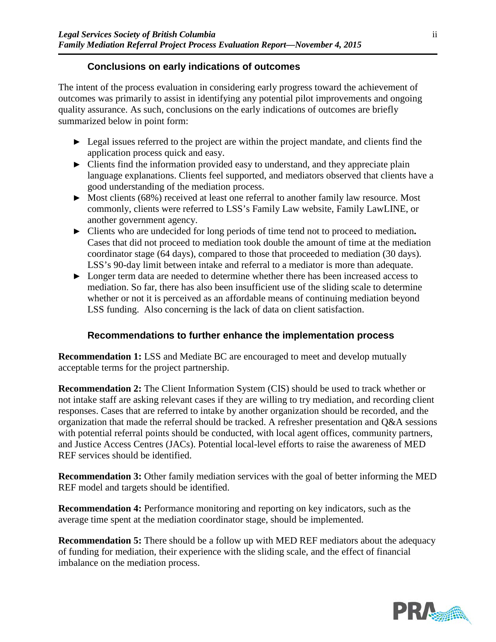## **Conclusions on early indications of outcomes**

The intent of the process evaluation in considering early progress toward the achievement of outcomes was primarily to assist in identifying any potential pilot improvements and ongoing quality assurance. As such, conclusions on the early indications of outcomes are briefly summarized below in point form:

- ► Legal issues referred to the project are within the project mandate, and clients find the application process quick and easy.
- ► Clients find the information provided easy to understand, and they appreciate plain language explanations. Clients feel supported, and mediators observed that clients have a good understanding of the mediation process.
- ► Most clients (68%) received at least one referral to another family law resource. Most commonly, clients were referred to LSS's Family Law website, Family LawLINE, or another government agency.
- ► Clients who are undecided for long periods of time tend not to proceed to mediation**.**  Cases that did not proceed to mediation took double the amount of time at the mediation coordinator stage (64 days), compared to those that proceeded to mediation (30 days). LSS's 90-day limit between intake and referral to a mediator is more than adequate.
- ► Longer term data are needed to determine whether there has been increased access to mediation. So far, there has also been insufficient use of the sliding scale to determine whether or not it is perceived as an affordable means of continuing mediation beyond LSS funding. Also concerning is the lack of data on client satisfaction.

## **Recommendations to further enhance the implementation process**

**Recommendation 1:** LSS and Mediate BC are encouraged to meet and develop mutually acceptable terms for the project partnership.

**Recommendation 2:** The Client Information System (CIS) should be used to track whether or not intake staff are asking relevant cases if they are willing to try mediation, and recording client responses. Cases that are referred to intake by another organization should be recorded, and the organization that made the referral should be tracked. A refresher presentation and Q&A sessions with potential referral points should be conducted, with local agent offices, community partners, and Justice Access Centres (JACs). Potential local-level efforts to raise the awareness of MED REF services should be identified.

**Recommendation 3:** Other family mediation services with the goal of better informing the MED REF model and targets should be identified.

**Recommendation 4:** Performance monitoring and reporting on key indicators, such as the average time spent at the mediation coordinator stage, should be implemented.

**Recommendation 5:** There should be a follow up with MED REF mediators about the adequacy of funding for mediation, their experience with the sliding scale, and the effect of financial imbalance on the mediation process.

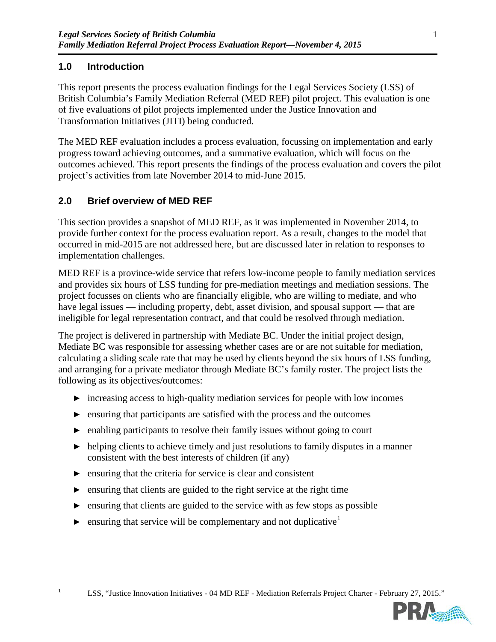# **1.0 Introduction**

This report presents the process evaluation findings for the Legal Services Society (LSS) of British Columbia's Family Mediation Referral (MED REF) pilot project. This evaluation is one of five evaluations of pilot projects implemented under the Justice Innovation and Transformation Initiatives (JITI) being conducted.

The MED REF evaluation includes a process evaluation, focussing on implementation and early progress toward achieving outcomes, and a summative evaluation, which will focus on the outcomes achieved. This report presents the findings of the process evaluation and covers the pilot project's activities from late November 2014 to mid-June 2015.

# **2.0 Brief overview of MED REF**

This section provides a snapshot of MED REF, as it was implemented in November 2014, to provide further context for the process evaluation report. As a result, changes to the model that occurred in mid-2015 are not addressed here, but are discussed later in relation to responses to implementation challenges.

MED REF is a province-wide service that refers low-income people to family mediation services and provides six hours of LSS funding for pre-mediation meetings and mediation sessions. The project focusses on clients who are financially eligible, who are willing to mediate, and who have legal issues — including property, debt, asset division, and spousal support — that are ineligible for legal representation contract, and that could be resolved through mediation.

The project is delivered in partnership with Mediate BC. Under the initial project design, Mediate BC was responsible for assessing whether cases are or are not suitable for mediation, calculating a sliding scale rate that may be used by clients beyond the six hours of LSS funding, and arranging for a private mediator through Mediate BC's family roster. The project lists the following as its objectives/outcomes:

- ► increasing access to high-quality mediation services for people with low incomes
- ► ensuring that participants are satisfied with the process and the outcomes
- ► enabling participants to resolve their family issues without going to court
- $\blacktriangleright$  helping clients to achieve timely and just resolutions to family disputes in a manner consistent with the best interests of children (if any)
- $\triangleright$  ensuring that the criteria for service is clear and consistent
- ► ensuring that clients are guided to the right service at the right time
- ► ensuring that clients are guided to the service with as few stops as possible
- <span id="page-4-0"></span> $\blacktriangleright$  ensuring that service will be complementary and not duplicative<sup>[1](#page-4-0)</sup>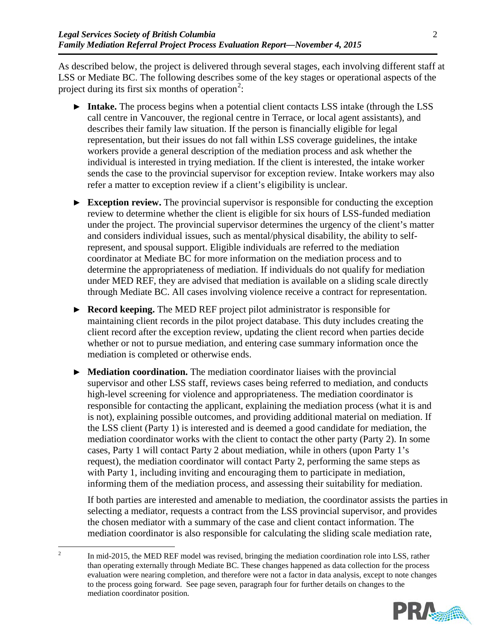As described below, the project is delivered through several stages, each involving different staff at LSS or Mediate BC. The following describes some of the key stages or operational aspects of the project during its first six months of operation<sup>[2](#page-5-0)</sup>:

- ► **Intake.** The process begins when a potential client contacts LSS intake (through the LSS call centre in Vancouver, the regional centre in Terrace, or local agent assistants), and describes their family law situation. If the person is financially eligible for legal representation, but their issues do not fall within LSS coverage guidelines, the intake workers provide a general description of the mediation process and ask whether the individual is interested in trying mediation. If the client is interested, the intake worker sends the case to the provincial supervisor for exception review. Intake workers may also refer a matter to exception review if a client's eligibility is unclear.
- ► **Exception review.** The provincial supervisor is responsible for conducting the exception review to determine whether the client is eligible for six hours of LSS-funded mediation under the project. The provincial supervisor determines the urgency of the client's matter and considers individual issues, such as mental/physical disability, the ability to selfrepresent, and spousal support. Eligible individuals are referred to the mediation coordinator at Mediate BC for more information on the mediation process and to determine the appropriateness of mediation. If individuals do not qualify for mediation under MED REF, they are advised that mediation is available on a sliding scale directly through Mediate BC. All cases involving violence receive a contract for representation.
- ► **Record keeping.** The MED REF project pilot administrator is responsible for maintaining client records in the pilot project database. This duty includes creating the client record after the exception review, updating the client record when parties decide whether or not to pursue mediation, and entering case summary information once the mediation is completed or otherwise ends.
- ► **Mediation coordination.** The mediation coordinator liaises with the provincial supervisor and other LSS staff, reviews cases being referred to mediation, and conducts high-level screening for violence and appropriateness. The mediation coordinator is responsible for contacting the applicant, explaining the mediation process (what it is and is not), explaining possible outcomes, and providing additional material on mediation. If the LSS client (Party 1) is interested and is deemed a good candidate for mediation, the mediation coordinator works with the client to contact the other party (Party 2). In some cases, Party 1 will contact Party 2 about mediation, while in others (upon Party 1's request), the mediation coordinator will contact Party 2, performing the same steps as with Party 1, including inviting and encouraging them to participate in mediation, informing them of the mediation process, and assessing their suitability for mediation.

If both parties are interested and amenable to mediation, the coordinator assists the parties in selecting a mediator, requests a contract from the LSS provincial supervisor, and provides the chosen mediator with a summary of the case and client contact information. The mediation coordinator is also responsible for calculating the sliding scale mediation rate,

<span id="page-5-0"></span><sup>&</sup>lt;sup>2</sup> In mid-2015, the MED REF model was revised, bringing the mediation coordination role into LSS, rather than operating externally through Mediate BC. These changes happened as data collection for the process evaluation were nearing completion, and therefore were not a factor in data analysis, except to note changes to the process going forward. See page seven, paragraph four for further details on changes to the mediation coordinator position.

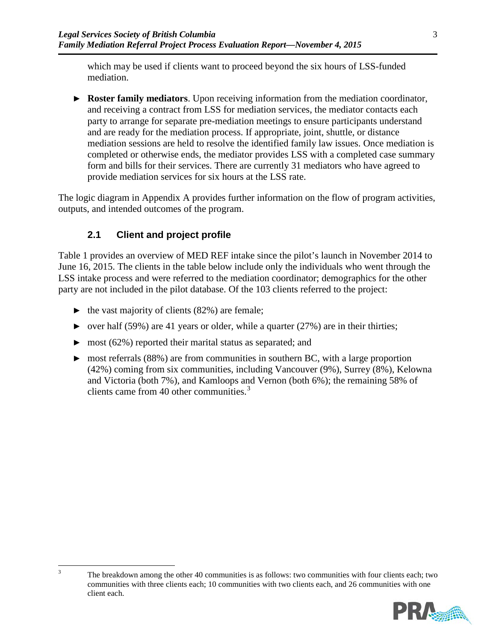which may be used if clients want to proceed beyond the six hours of LSS-funded mediation.

► **Roster family mediators**. Upon receiving information from the mediation coordinator, and receiving a contract from LSS for mediation services, the mediator contacts each party to arrange for separate pre-mediation meetings to ensure participants understand and are ready for the mediation process. If appropriate, joint, shuttle, or distance mediation sessions are held to resolve the identified family law issues. Once mediation is completed or otherwise ends, the mediator provides LSS with a completed case summary form and bills for their services. There are currently 31 mediators who have agreed to provide mediation services for six hours at the LSS rate.

The logic diagram in Appendix A provides further information on the flow of program activities, outputs, and intended outcomes of the program.

# **2.1 Client and project profile**

[Table 1](#page-7-0) provides an overview of MED REF intake since the pilot's launch in November 2014 to June 16, 2015. The clients in the table below include only the individuals who went through the LSS intake process and were referred to the mediation coordinator; demographics for the other party are not included in the pilot database. Of the 103 clients referred to the project:

- $\blacktriangleright$  the vast majority of clients (82%) are female;
- $\triangleright$  over half (59%) are 41 years or older, while a quarter (27%) are in their thirties;
- ► most (62%) reported their marital status as separated; and
- ► most referrals (88%) are from communities in southern BC, with a large proportion (42%) coming from six communities, including Vancouver (9%), Surrey (8%), Kelowna and Victoria (both 7%), and Kamloops and Vernon (both 6%); the remaining 58% of clients came from 40 other communities.<sup>[3](#page-6-0)</sup>

<span id="page-6-0"></span><sup>&</sup>lt;sup>3</sup> The breakdown among the other 40 communities is as follows: two communities with four clients each; two communities with three clients each; 10 communities with two clients each, and 26 communities with one client each.

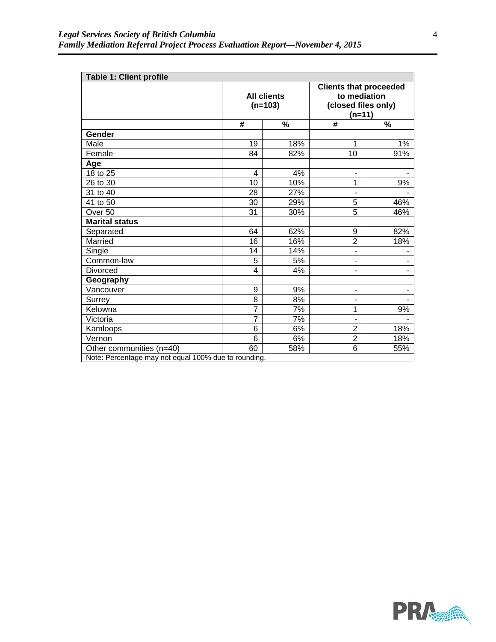<span id="page-7-0"></span>

| <b>Table 1: Client profile</b>                       |                |                                 |                                                                                  |     |  |  |  |
|------------------------------------------------------|----------------|---------------------------------|----------------------------------------------------------------------------------|-----|--|--|--|
|                                                      |                | <b>All clients</b><br>$(n=103)$ | <b>Clients that proceeded</b><br>to mediation<br>(closed files only)<br>$(n=11)$ |     |  |  |  |
|                                                      | #              | $\%$                            | #                                                                                | %   |  |  |  |
| Gender                                               |                |                                 |                                                                                  |     |  |  |  |
| Male                                                 | 19             | 18%                             | 1                                                                                | 1%  |  |  |  |
| Female                                               | 84             | 82%                             | 10                                                                               | 91% |  |  |  |
| Age                                                  |                |                                 |                                                                                  |     |  |  |  |
| 18 to 25                                             | 4              | 4%                              | ٠                                                                                |     |  |  |  |
| 26 to 30                                             | 10             | 10%                             | 1                                                                                | 9%  |  |  |  |
| 31 to 40                                             | 28             | 27%                             |                                                                                  |     |  |  |  |
| 41 to 50                                             | 30             | 29%                             | 5                                                                                | 46% |  |  |  |
| Over <sub>50</sub>                                   | 31             | 30%                             | $\overline{5}$                                                                   | 46% |  |  |  |
| <b>Marital status</b>                                |                |                                 |                                                                                  |     |  |  |  |
| Separated                                            | 64             | 62%                             | 9                                                                                | 82% |  |  |  |
| Married                                              | 16             | 16%                             | $\overline{2}$                                                                   | 18% |  |  |  |
| Single                                               | 14             | 14%                             | ٠                                                                                |     |  |  |  |
| Common-law                                           | 5              | 5%                              | ٠                                                                                |     |  |  |  |
| Divorced                                             | 4              | 4%                              | ٠                                                                                |     |  |  |  |
| Geography                                            |                |                                 |                                                                                  |     |  |  |  |
| Vancouver                                            | 9              | 9%                              | ٠                                                                                |     |  |  |  |
| Surrey                                               | 8              | 8%                              |                                                                                  |     |  |  |  |
| Kelowna                                              | 7              | 7%                              | 1                                                                                | 9%  |  |  |  |
| Victoria                                             | $\overline{7}$ | 7%                              |                                                                                  |     |  |  |  |
| Kamloops                                             | 6              | 6%                              | $\overline{2}$                                                                   | 18% |  |  |  |
| Vernon                                               | 6              | 6%                              | $\overline{2}$                                                                   | 18% |  |  |  |
| Other communities (n=40)                             | 60             | 58%                             | 6                                                                                | 55% |  |  |  |
| Note: Percentage may not equal 100% due to rounding. |                |                                 |                                                                                  |     |  |  |  |

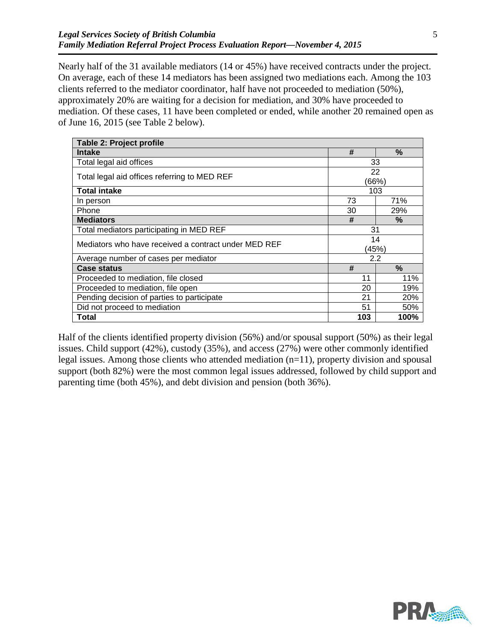Nearly half of the 31 available mediators (14 or 45%) have received contracts under the project. On average, each of these 14 mediators has been assigned two mediations each. Among the 103 clients referred to the mediator coordinator, half have not proceeded to mediation (50%), approximately 20% are waiting for a decision for mediation, and 30% have proceeded to mediation. Of these cases, 11 have been completed or ended, while another 20 remained open as of June 16, 2015 (see [Table 2](#page-8-0) below).

<span id="page-8-0"></span>

| Table 2: Project profile                             |             |               |  |
|------------------------------------------------------|-------------|---------------|--|
| <b>Intake</b>                                        | #           | $\frac{9}{6}$ |  |
| Total legal aid offices                              |             | 33            |  |
| Total legal aid offices referring to MED REF         |             | 22<br>(66%)   |  |
| <b>Total intake</b>                                  |             | 103           |  |
| In person                                            | 73          | 71%           |  |
| Phone                                                | 30          | 29%           |  |
| <b>Mediators</b>                                     | #           | %             |  |
| Total mediators participating in MED REF             | 31          |               |  |
| Mediators who have received a contract under MED REF | 14<br>(45%) |               |  |
| Average number of cases per mediator                 | 2.2         |               |  |
| <b>Case status</b>                                   | #           | $\frac{9}{6}$ |  |
| Proceeded to mediation, file closed                  | 11          | 11%           |  |
| Proceeded to mediation, file open                    | 20          | 19%           |  |
| Pending decision of parties to participate           | 21          | 20%           |  |
| Did not proceed to mediation                         | 51          | 50%           |  |
| Total                                                | 103         | 100%          |  |

Half of the clients identified property division (56%) and/or spousal support (50%) as their legal issues. Child support (42%), custody (35%), and access (27%) were other commonly identified legal issues. Among those clients who attended mediation (n=11), property division and spousal support (both 82%) were the most common legal issues addressed, followed by child support and parenting time (both 45%), and debt division and pension (both 36%).

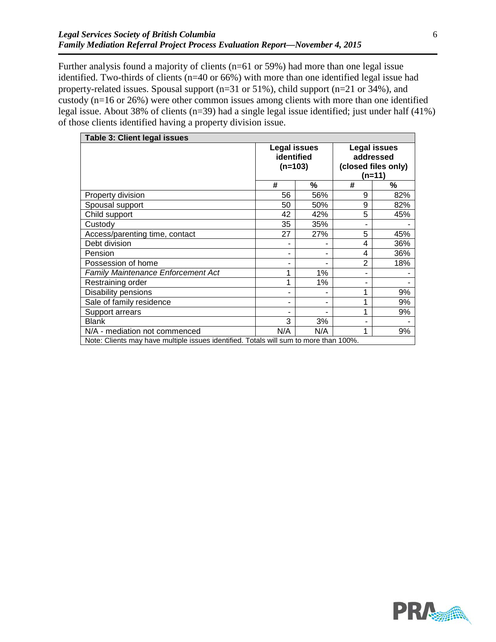Further analysis found a majority of clients (n=61 or 59%) had more than one legal issue identified. Two-thirds of clients (n=40 or 66%) with more than one identified legal issue had property-related issues. Spousal support (n=31 or 51%), child support (n=21 or 34%), and custody (n=16 or 26%) were other common issues among clients with more than one identified legal issue. About 38% of clients (n=39) had a single legal issue identified; just under half (41%) of those clients identified having a property division issue.

| Table 3: Client legal issues                                                          |                                                |     |                                                                     |     |  |  |
|---------------------------------------------------------------------------------------|------------------------------------------------|-----|---------------------------------------------------------------------|-----|--|--|
|                                                                                       | <b>Legal issues</b><br>identified<br>$(n=103)$ |     | <b>Legal issues</b><br>addressed<br>(closed files only)<br>$(n=11)$ |     |  |  |
|                                                                                       | #                                              | %   | #                                                                   | %   |  |  |
| Property division                                                                     | 56                                             | 56% | 9                                                                   | 82% |  |  |
| Spousal support                                                                       | 50                                             | 50% | 9                                                                   | 82% |  |  |
| Child support                                                                         | 42                                             | 42% | 5                                                                   | 45% |  |  |
| Custody                                                                               | 35                                             | 35% |                                                                     |     |  |  |
| Access/parenting time, contact                                                        | 27                                             | 27% | 5                                                                   | 45% |  |  |
| Debt division                                                                         |                                                |     | 4                                                                   | 36% |  |  |
| Pension                                                                               |                                                |     | 4                                                                   | 36% |  |  |
| Possession of home                                                                    |                                                |     | $\overline{2}$                                                      | 18% |  |  |
| <b>Family Maintenance Enforcement Act</b>                                             | 1                                              | 1%  | ۰                                                                   |     |  |  |
| Restraining order                                                                     | 1                                              | 1%  | ۰                                                                   |     |  |  |
| Disability pensions                                                                   |                                                |     | 1                                                                   | 9%  |  |  |
| Sale of family residence                                                              |                                                | ۰   | 1                                                                   | 9%  |  |  |
| Support arrears                                                                       |                                                |     | 1                                                                   | 9%  |  |  |
| <b>Blank</b>                                                                          | 3                                              | 3%  | ۰                                                                   |     |  |  |
| N/A - mediation not commenced                                                         | N/A                                            | N/A | 1                                                                   | 9%  |  |  |
| Note: Clients may have multiple issues identified. Totals will sum to more than 100%. |                                                |     |                                                                     |     |  |  |

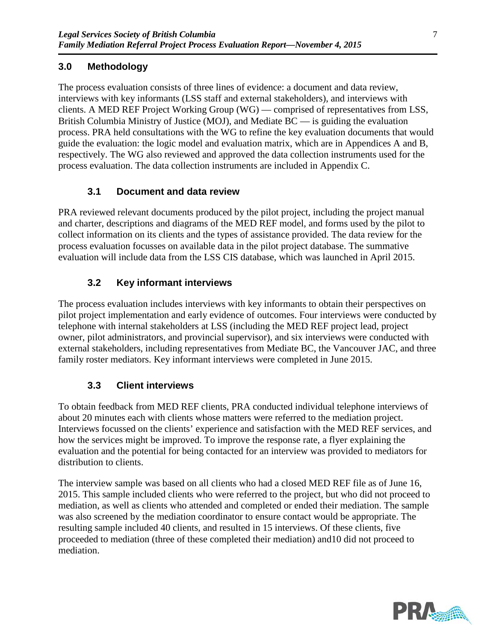# **3.0 Methodology**

The process evaluation consists of three lines of evidence: a document and data review, interviews with key informants (LSS staff and external stakeholders), and interviews with clients. A MED REF Project Working Group (WG) — comprised of representatives from LSS, British Columbia Ministry of Justice (MOJ), and Mediate  $BC -$  is guiding the evaluation process. PRA held consultations with the WG to refine the key evaluation documents that would guide the evaluation: the logic model and evaluation matrix, which are in Appendices A and B, respectively. The WG also reviewed and approved the data collection instruments used for the process evaluation. The data collection instruments are included in Appendix C.

## **3.1 Document and data review**

PRA reviewed relevant documents produced by the pilot project, including the project manual and charter, descriptions and diagrams of the MED REF model, and forms used by the pilot to collect information on its clients and the types of assistance provided. The data review for the process evaluation focusses on available data in the pilot project database. The summative evaluation will include data from the LSS CIS database, which was launched in April 2015.

# **3.2 Key informant interviews**

The process evaluation includes interviews with key informants to obtain their perspectives on pilot project implementation and early evidence of outcomes. Four interviews were conducted by telephone with internal stakeholders at LSS (including the MED REF project lead, project owner, pilot administrators, and provincial supervisor), and six interviews were conducted with external stakeholders, including representatives from Mediate BC, the Vancouver JAC, and three family roster mediators. Key informant interviews were completed in June 2015.

# **3.3 Client interviews**

To obtain feedback from MED REF clients, PRA conducted individual telephone interviews of about 20 minutes each with clients whose matters were referred to the mediation project. Interviews focussed on the clients' experience and satisfaction with the MED REF services, and how the services might be improved. To improve the response rate, a flyer explaining the evaluation and the potential for being contacted for an interview was provided to mediators for distribution to clients.

The interview sample was based on all clients who had a closed MED REF file as of June 16, 2015. This sample included clients who were referred to the project, but who did not proceed to mediation, as well as clients who attended and completed or ended their mediation. The sample was also screened by the mediation coordinator to ensure contact would be appropriate. The resulting sample included 40 clients, and resulted in 15 interviews. Of these clients, five proceeded to mediation (three of these completed their mediation) and10 did not proceed to mediation.

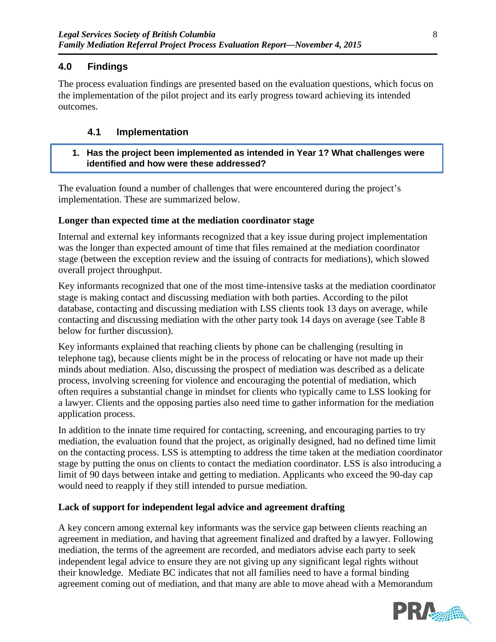## **4.0 Findings**

The process evaluation findings are presented based on the evaluation questions, which focus on the implementation of the pilot project and its early progress toward achieving its intended outcomes.

## **4.1 Implementation**

**1. Has the project been implemented as intended in Year 1? What challenges were identified and how were these addressed?**

The evaluation found a number of challenges that were encountered during the project's implementation. These are summarized below.

#### **Longer than expected time at the mediation coordinator stage**

Internal and external key informants recognized that a key issue during project implementation was the longer than expected amount of time that files remained at the mediation coordinator stage (between the exception review and the issuing of contracts for mediations), which slowed overall project throughput.

Key informants recognized that one of the most time-intensive tasks at the mediation coordinator stage is making contact and discussing mediation with both parties. According to the pilot database, contacting and discussing mediation with LSS clients took 13 days on average, while contacting and discussing mediation with the other party took 14 days on average (see [Table 8](#page-22-0) below for further discussion).

Key informants explained that reaching clients by phone can be challenging (resulting in telephone tag), because clients might be in the process of relocating or have not made up their minds about mediation. Also, discussing the prospect of mediation was described as a delicate process, involving screening for violence and encouraging the potential of mediation, which often requires a substantial change in mindset for clients who typically came to LSS looking for a lawyer. Clients and the opposing parties also need time to gather information for the mediation application process.

In addition to the innate time required for contacting, screening, and encouraging parties to try mediation, the evaluation found that the project, as originally designed, had no defined time limit on the contacting process. LSS is attempting to address the time taken at the mediation coordinator stage by putting the onus on clients to contact the mediation coordinator. LSS is also introducing a limit of 90 days between intake and getting to mediation. Applicants who exceed the 90-day cap would need to reapply if they still intended to pursue mediation.

## **Lack of support for independent legal advice and agreement drafting**

A key concern among external key informants was the service gap between clients reaching an agreement in mediation, and having that agreement finalized and drafted by a lawyer. Following mediation, the terms of the agreement are recorded, and mediators advise each party to seek independent legal advice to ensure they are not giving up any significant legal rights without their knowledge. Mediate BC indicates that not all families need to have a formal binding agreement coming out of mediation, and that many are able to move ahead with a Memorandum

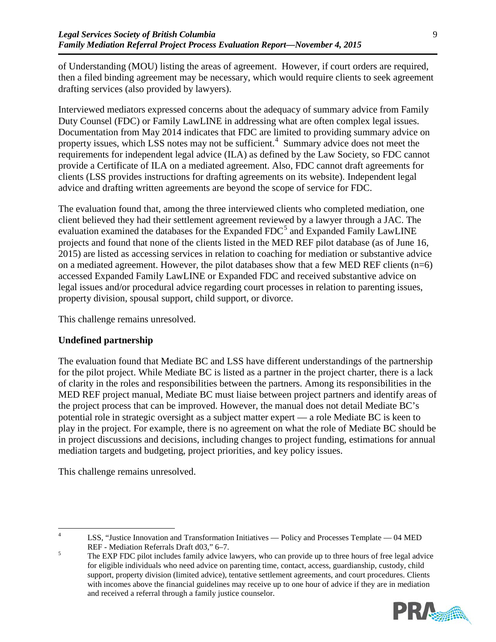of Understanding (MOU) listing the areas of agreement. However, if court orders are required, then a filed binding agreement may be necessary, which would require clients to seek agreement drafting services (also provided by lawyers).

Interviewed mediators expressed concerns about the adequacy of summary advice from Family Duty Counsel (FDC) or Family LawLINE in addressing what are often complex legal issues. Documentation from May 2014 indicates that FDC are limited to providing summary advice on property issues, which LSS notes may not be sufficient.<sup>[4](#page-12-0)</sup> Summary advice does not meet the requirements for independent legal advice (ILA) as defined by the Law Society, so FDC cannot provide a Certificate of ILA on a mediated agreement. Also, FDC cannot draft agreements for clients (LSS provides instructions for drafting agreements on its website). Independent legal advice and drafting written agreements are beyond the scope of service for FDC.

The evaluation found that, among the three interviewed clients who completed mediation, one client believed they had their settlement agreement reviewed by a lawyer through a JAC. The evaluation examined the databases for the Expanded FDC<sup>[5](#page-12-1)</sup> and Expanded Family LawLINE projects and found that none of the clients listed in the MED REF pilot database (as of June 16, 2015) are listed as accessing services in relation to coaching for mediation or substantive advice on a mediated agreement. However, the pilot databases show that a few MED REF clients (n=6) accessed Expanded Family LawLINE or Expanded FDC and received substantive advice on legal issues and/or procedural advice regarding court processes in relation to parenting issues, property division, spousal support, child support, or divorce.

This challenge remains unresolved.

## **Undefined partnership**

The evaluation found that Mediate BC and LSS have different understandings of the partnership for the pilot project. While Mediate BC is listed as a partner in the project charter, there is a lack of clarity in the roles and responsibilities between the partners. Among its responsibilities in the MED REF project manual, Mediate BC must liaise between project partners and identify areas of the project process that can be improved. However, the manual does not detail Mediate BC's potential role in strategic oversight as a subject matter expert — a role Mediate BC is keen to play in the project. For example, there is no agreement on what the role of Mediate BC should be in project discussions and decisions, including changes to project funding, estimations for annual mediation targets and budgeting, project priorities, and key policy issues.

This challenge remains unresolved.

<span id="page-12-1"></span>REF - Mediation Referrals Draft d03," 6–7.<br>The EXP FDC pilot includes family advice lawyers, who can provide up to three hours of free legal advice for eligible individuals who need advice on parenting time, contact, access, guardianship, custody, child support, property division (limited advice), tentative settlement agreements, and court procedures. Clients with incomes above the financial guidelines may receive up to one hour of advice if they are in mediation and received a referral through a family justice counselor.



<span id="page-12-0"></span><sup>&</sup>lt;sup>4</sup> LSS, "Justice Innovation and Transformation Initiatives — Policy and Processes Template — 04 MED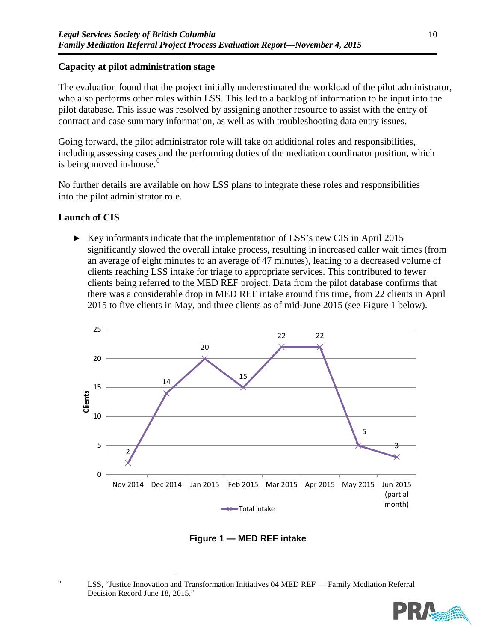## **Capacity at pilot administration stage**

The evaluation found that the project initially underestimated the workload of the pilot administrator, who also performs other roles within LSS. This led to a backlog of information to be input into the pilot database. This issue was resolved by assigning another resource to assist with the entry of contract and case summary information, as well as with troubleshooting data entry issues.

Going forward, the pilot administrator role will take on additional roles and responsibilities, including assessing cases and the performing duties of the mediation coordinator position, which is being moved in-house. [6](#page-13-0)

No further details are available on how LSS plans to integrate these roles and responsibilities into the pilot administrator role.

## **Launch of CIS**

► Key informants indicate that the implementation of LSS's new CIS in April 2015 significantly slowed the overall intake process, resulting in increased caller wait times (from an average of eight minutes to an average of 47 minutes), leading to a decreased volume of clients reaching LSS intake for triage to appropriate services. This contributed to fewer clients being referred to the MED REF project. Data from the pilot database confirms that there was a considerable drop in MED REF intake around this time, from 22 clients in April 2015 to five clients in May, and three clients as of mid-June 2015 (see Figure 1 below).



**Figure 1 — MED REF intake**

<span id="page-13-0"></span><sup>&</sup>lt;sup>6</sup> LSS, "Justice Innovation and Transformation Initiatives 04 MED REF — Family Mediation Referral Decision Record June 18, 2015."

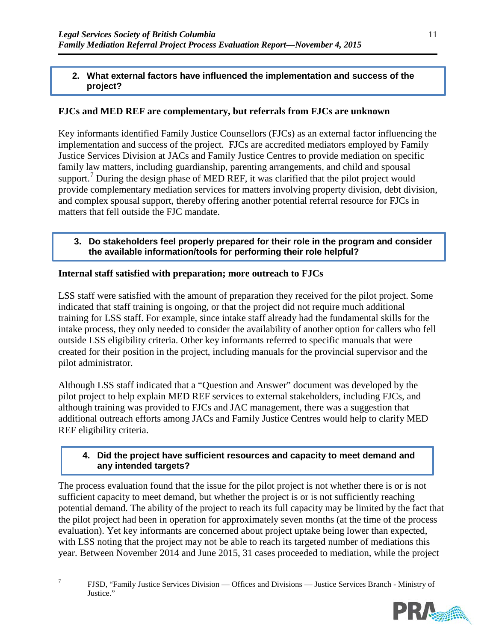## **2. What external factors have influenced the implementation and success of the project?**

## **FJCs and MED REF are complementary, but referrals from FJCs are unknown**

Key informants identified Family Justice Counsellors (FJCs) as an external factor influencing the implementation and success of the project. FJCs are accredited mediators employed by Family Justice Services Division at JACs and Family Justice Centres to provide mediation on specific family law matters, including guardianship, parenting arrangements, and child and spousal support.<sup>[7](#page-14-0)</sup> During the design phase of MED REF, it was clarified that the pilot project would provide complementary mediation services for matters involving property division, debt division, and complex spousal support, thereby offering another potential referral resource for FJCs in matters that fell outside the FJC mandate.

**3. Do stakeholders feel properly prepared for their role in the program and consider the available information/tools for performing their role helpful?**

### **Internal staff satisfied with preparation; more outreach to FJCs**

LSS staff were satisfied with the amount of preparation they received for the pilot project. Some indicated that staff training is ongoing, or that the project did not require much additional training for LSS staff. For example, since intake staff already had the fundamental skills for the intake process, they only needed to consider the availability of another option for callers who fell outside LSS eligibility criteria. Other key informants referred to specific manuals that were created for their position in the project, including manuals for the provincial supervisor and the pilot administrator.

Although LSS staff indicated that a "Question and Answer" document was developed by the pilot project to help explain MED REF services to external stakeholders, including FJCs, and although training was provided to FJCs and JAC management, there was a suggestion that additional outreach efforts among JACs and Family Justice Centres would help to clarify MED REF eligibility criteria.

### **4. Did the project have sufficient resources and capacity to meet demand and any intended targets?**

The process evaluation found that the issue for the pilot project is not whether there is or is not sufficient capacity to meet demand, but whether the project is or is not sufficiently reaching potential demand. The ability of the project to reach its full capacity may be limited by the fact that the pilot project had been in operation for approximately seven months (at the time of the process evaluation). Yet key informants are concerned about project uptake being lower than expected, with LSS noting that the project may not be able to reach its targeted number of mediations this year. Between November 2014 and June 2015, 31 cases proceeded to mediation, while the project

 <sup>7</sup> FJSD, "Family Justice Services Division — Offices and Divisions — Justice Services Branch - Ministry of Justice."



<span id="page-14-0"></span>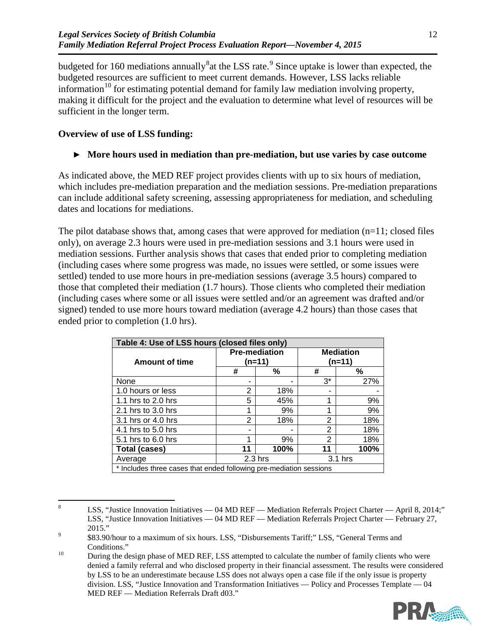budgeted for 160 mediations annually  $^8$  $^8$  at the LSS rate.  $^9$  $^9$  Since uptake is lower than expected, the budgeted resources are sufficient to meet current demands. However, LSS lacks reliable information<sup>[10](#page-15-2)</sup> for estimating potential demand for family law mediation involving property, making it difficult for the project and the evaluation to determine what level of resources will be sufficient in the longer term.

## **Overview of use of LSS funding:**

## ► **More hours used in mediation than pre-mediation, but use varies by case outcome**

As indicated above, the MED REF project provides clients with up to six hours of mediation, which includes pre-mediation preparation and the mediation sessions. Pre-mediation preparations can include additional safety screening, assessing appropriateness for mediation, and scheduling dates and locations for mediations.

The pilot database shows that, among cases that were approved for mediation  $(n=11; closed$  files only), on average 2.3 hours were used in pre-mediation sessions and 3.1 hours were used in mediation sessions. Further analysis shows that cases that ended prior to completing mediation (including cases where some progress was made, no issues were settled, or some issues were settled) tended to use more hours in pre-mediation sessions (average 3.5 hours) compared to those that completed their mediation (1.7 hours). Those clients who completed their mediation (including cases where some or all issues were settled and/or an agreement was drafted and/or signed) tended to use more hours toward mediation (average 4.2 hours) than those cases that ended prior to completion (1.0 hrs).

| Table 4: Use of LSS hours (closed files only)                      |    |                                |                            |      |  |  |  |
|--------------------------------------------------------------------|----|--------------------------------|----------------------------|------|--|--|--|
| <b>Amount of time</b>                                              |    | <b>Pre-mediation</b><br>(n=11) | <b>Mediation</b><br>(n=11) |      |  |  |  |
|                                                                    | #  | ℅                              | #                          | ℅    |  |  |  |
| None                                                               | -  | -                              | $3^*$                      | 27%  |  |  |  |
| 1.0 hours or less                                                  | 2  | 18%                            | -                          |      |  |  |  |
| 1.1 hrs to 2.0 hrs                                                 | 5  | 45%                            | 1                          | 9%   |  |  |  |
| 2.1 hrs to 3.0 hrs                                                 | 1  | 9%                             | 1                          | 9%   |  |  |  |
| 3.1 hrs or 4.0 hrs                                                 | 2  | 18%                            | 2                          | 18%  |  |  |  |
| 4.1 hrs to 5.0 hrs                                                 | -  |                                | 2                          | 18%  |  |  |  |
| 5.1 hrs to 6.0 hrs                                                 | 1  | 9%                             | 2                          | 18%  |  |  |  |
| <b>Total (cases)</b>                                               | 11 | 100%                           | 11                         | 100% |  |  |  |
| Average                                                            |    | $2.3$ hrs                      | $3.1$ hrs                  |      |  |  |  |
| * Includes three cases that ended following pre-mediation sessions |    |                                |                            |      |  |  |  |

<span id="page-15-0"></span><sup>&</sup>lt;sup>8</sup> LSS, "Justice Innovation Initiatives — 04 MD REF — Mediation Referrals Project Charter — April 8, 2014;" LSS, "Justice Innovation Initiatives — 04 MD REF — Mediation Referrals Project Charter — February 27, 2015."<br>\$83.90/hour to a maximum of six hours. LSS, "Disbursements Tariff;" LSS, "General Terms and

<span id="page-15-2"></span> $10$  Conditions."<br><sup>10</sup> During the design phase of MED REF, LSS attempted to calculate the number of family clients who were denied a family referral and who disclosed property in their financial assessment. The results were considered by LSS to be an underestimate because LSS does not always open a case file if the only issue is property division. LSS, "Justice Innovation and Transformation Initiatives — Policy and Processes Template — 04 MED REF — Mediation Referrals Draft d03."



<span id="page-15-1"></span>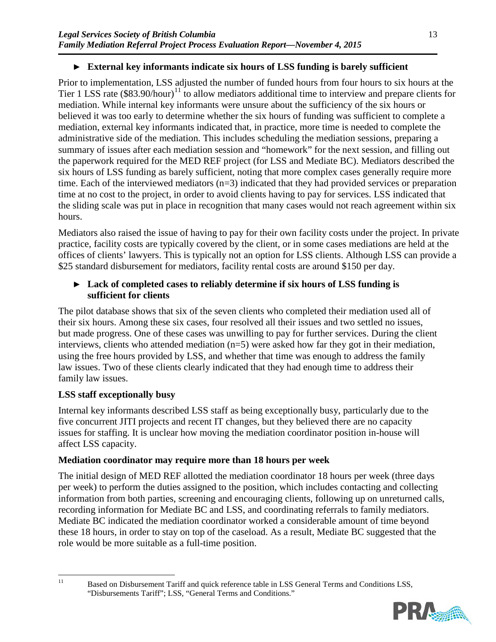# ► **External key informants indicate six hours of LSS funding is barely sufficient**

Prior to implementation, LSS adjusted the number of funded hours from four hours to six hours at the Tier 1 LSS rate  $(\$83.90/hour)^{11}$  $(\$83.90/hour)^{11}$  $(\$83.90/hour)^{11}$  to allow mediators additional time to interview and prepare clients for mediation. While internal key informants were unsure about the sufficiency of the six hours or believed it was too early to determine whether the six hours of funding was sufficient to complete a mediation, external key informants indicated that, in practice, more time is needed to complete the administrative side of the mediation. This includes scheduling the mediation sessions, preparing a summary of issues after each mediation session and "homework" for the next session, and filling out the paperwork required for the MED REF project (for LSS and Mediate BC). Mediators described the six hours of LSS funding as barely sufficient, noting that more complex cases generally require more time. Each of the interviewed mediators (n=3) indicated that they had provided services or preparation time at no cost to the project, in order to avoid clients having to pay for services. LSS indicated that the sliding scale was put in place in recognition that many cases would not reach agreement within six hours.

Mediators also raised the issue of having to pay for their own facility costs under the project. In private practice, facility costs are typically covered by the client, or in some cases mediations are held at the offices of clients' lawyers. This is typically not an option for LSS clients. Although LSS can provide a \$25 standard disbursement for mediators, facility rental costs are around \$150 per day.

## ► **Lack of completed cases to reliably determine if six hours of LSS funding is sufficient for clients**

The pilot database shows that six of the seven clients who completed their mediation used all of their six hours. Among these six cases, four resolved all their issues and two settled no issues, but made progress. One of these cases was unwilling to pay for further services. During the client interviews, clients who attended mediation (n=5) were asked how far they got in their mediation, using the free hours provided by LSS, and whether that time was enough to address the family law issues. Two of these clients clearly indicated that they had enough time to address their family law issues.

# **LSS staff exceptionally busy**

Internal key informants described LSS staff as being exceptionally busy, particularly due to the five concurrent JITI projects and recent IT changes, but they believed there are no capacity issues for staffing. It is unclear how moving the mediation coordinator position in-house will affect LSS capacity.

## **Mediation coordinator may require more than 18 hours per week**

The initial design of MED REF allotted the mediation coordinator 18 hours per week (three days per week) to perform the duties assigned to the position, which includes contacting and collecting information from both parties, screening and encouraging clients, following up on unreturned calls, recording information for Mediate BC and LSS, and coordinating referrals to family mediators. Mediate BC indicated the mediation coordinator worked a considerable amount of time beyond these 18 hours, in order to stay on top of the caseload. As a result, Mediate BC suggested that the role would be more suitable as a full-time position.

<span id="page-16-0"></span><sup>&</sup>lt;sup>11</sup> Based on Disbursement Tariff and quick reference table in LSS General Terms and Conditions LSS, "Disbursements Tariff"; LSS, "General Terms and Conditions."

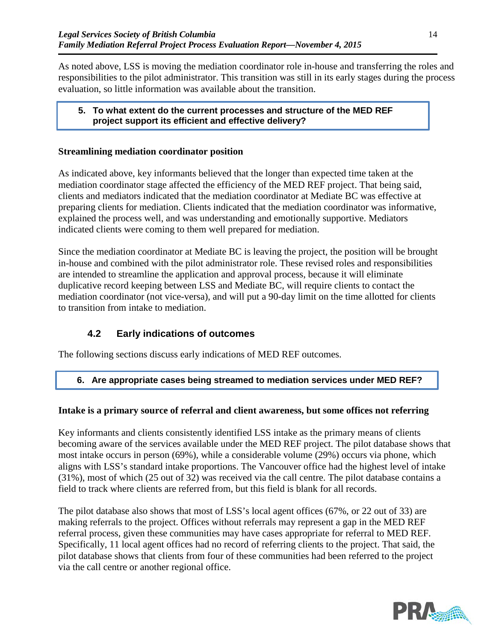As noted above, LSS is moving the mediation coordinator role in-house and transferring the roles and responsibilities to the pilot administrator. This transition was still in its early stages during the process evaluation, so little information was available about the transition.

### **5. To what extent do the current processes and structure of the MED REF project support its efficient and effective delivery?**

## **Streamlining mediation coordinator position**

As indicated above, key informants believed that the longer than expected time taken at the mediation coordinator stage affected the efficiency of the MED REF project. That being said, clients and mediators indicated that the mediation coordinator at Mediate BC was effective at preparing clients for mediation. Clients indicated that the mediation coordinator was informative, explained the process well, and was understanding and emotionally supportive. Mediators indicated clients were coming to them well prepared for mediation.

Since the mediation coordinator at Mediate BC is leaving the project, the position will be brought in-house and combined with the pilot administrator role. These revised roles and responsibilities are intended to streamline the application and approval process, because it will eliminate duplicative record keeping between LSS and Mediate BC, will require clients to contact the mediation coordinator (not vice-versa), and will put a 90-day limit on the time allotted for clients to transition from intake to mediation.

# **4.2 Early indications of outcomes**

The following sections discuss early indications of MED REF outcomes.

# **6. Are appropriate cases being streamed to mediation services under MED REF?**

## **Intake is a primary source of referral and client awareness, but some offices not referring**

Key informants and clients consistently identified LSS intake as the primary means of clients becoming aware of the services available under the MED REF project. The pilot database shows that most intake occurs in person (69%), while a considerable volume (29%) occurs via phone, which aligns with LSS's standard intake proportions. The Vancouver office had the highest level of intake (31%), most of which (25 out of 32) was received via the call centre. The pilot database contains a field to track where clients are referred from, but this field is blank for all records.

The pilot database also shows that most of LSS's local agent offices (67%, or 22 out of 33) are making referrals to the project. Offices without referrals may represent a gap in the MED REF referral process, given these communities may have cases appropriate for referral to MED REF. Specifically, 11 local agent offices had no record of referring clients to the project. That said, the pilot database shows that clients from four of these communities had been referred to the project via the call centre or another regional office.

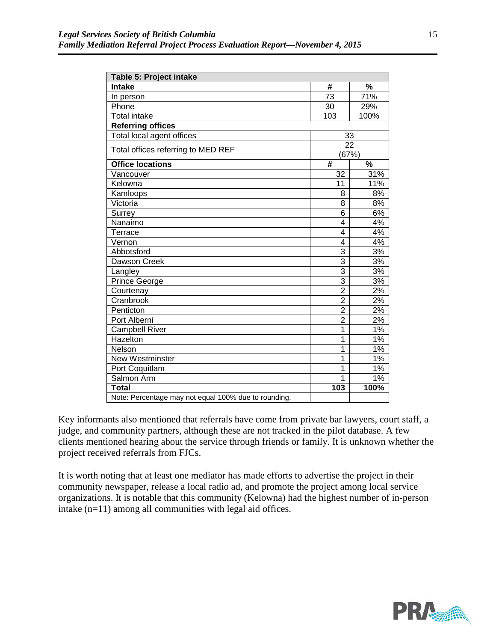| Table 5: Project intake                              |                |                          |  |  |  |
|------------------------------------------------------|----------------|--------------------------|--|--|--|
| <b>Intake</b>                                        | #              | %                        |  |  |  |
| In person                                            | 73             | 71%                      |  |  |  |
| Phone                                                | 30             | 29%                      |  |  |  |
| <b>Total intake</b>                                  | 103            | 100%                     |  |  |  |
| <b>Referring offices</b>                             |                |                          |  |  |  |
| Total local agent offices                            | 33             |                          |  |  |  |
| Total offices referring to MED REF                   | 22             |                          |  |  |  |
|                                                      | (67%)          |                          |  |  |  |
| <b>Office locations</b>                              | #              | $\overline{\frac{9}{6}}$ |  |  |  |
| Vancouver                                            | 32             | 31%                      |  |  |  |
| Kelowna                                              | 11             | 11%                      |  |  |  |
| Kamloops                                             | 8              | 8%                       |  |  |  |
| Victoria                                             | 8              | 8%                       |  |  |  |
| Surrey                                               | 6              | 6%                       |  |  |  |
| Nanaimo                                              | $\overline{4}$ | 4%                       |  |  |  |
| Terrace                                              | 4              | 4%                       |  |  |  |
| Vernon                                               | 4              | 4%                       |  |  |  |
| Abbotsford                                           | 3              | 3%                       |  |  |  |
| Dawson Creek                                         | 3              | 3%                       |  |  |  |
| Langley                                              | $\overline{3}$ | 3%                       |  |  |  |
| Prince George                                        | $\overline{3}$ | 3%                       |  |  |  |
| Courtenay                                            | $\overline{2}$ | 2%                       |  |  |  |
| Cranbrook                                            | $\overline{2}$ | 2%                       |  |  |  |
| Penticton                                            | $\overline{2}$ | 2%                       |  |  |  |
| Port Alberni                                         | $\overline{2}$ | 2%                       |  |  |  |
| <b>Campbell River</b>                                | $\overline{1}$ | 1%                       |  |  |  |
| Hazelton                                             | $\overline{1}$ | 1%                       |  |  |  |
| Nelson                                               | 1              | 1%                       |  |  |  |
| New Westminster                                      | 1              | 1%                       |  |  |  |
| Port Coquitlam                                       | $\overline{1}$ | $1\%$                    |  |  |  |
| Salmon Arm                                           | 1              | 1%                       |  |  |  |
| <b>Total</b>                                         | 103            | 100%                     |  |  |  |
| Note: Percentage may not equal 100% due to rounding. |                |                          |  |  |  |

Key informants also mentioned that referrals have come from private bar lawyers, court staff, a judge, and community partners, although these are not tracked in the pilot database. A few clients mentioned hearing about the service through friends or family. It is unknown whether the project received referrals from FJCs.

It is worth noting that at least one mediator has made efforts to advertise the project in their community newspaper, release a local radio ad, and promote the project among local service organizations. It is notable that this community (Kelowna) had the highest number of in-person intake (n=11) among all communities with legal aid offices.

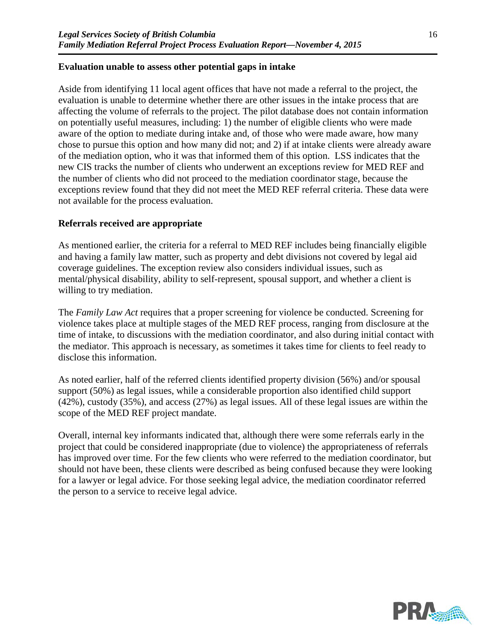#### **Evaluation unable to assess other potential gaps in intake**

Aside from identifying 11 local agent offices that have not made a referral to the project, the evaluation is unable to determine whether there are other issues in the intake process that are affecting the volume of referrals to the project. The pilot database does not contain information on potentially useful measures, including: 1) the number of eligible clients who were made aware of the option to mediate during intake and, of those who were made aware, how many chose to pursue this option and how many did not; and 2) if at intake clients were already aware of the mediation option, who it was that informed them of this option. LSS indicates that the new CIS tracks the number of clients who underwent an exceptions review for MED REF and the number of clients who did not proceed to the mediation coordinator stage, because the exceptions review found that they did not meet the MED REF referral criteria. These data were not available for the process evaluation.

#### **Referrals received are appropriate**

As mentioned earlier, the criteria for a referral to MED REF includes being financially eligible and having a family law matter, such as property and debt divisions not covered by legal aid coverage guidelines. The exception review also considers individual issues, such as mental/physical disability, ability to self-represent, spousal support, and whether a client is willing to try mediation.

The *Family Law Act* requires that a proper screening for violence be conducted. Screening for violence takes place at multiple stages of the MED REF process, ranging from disclosure at the time of intake, to discussions with the mediation coordinator, and also during initial contact with the mediator. This approach is necessary, as sometimes it takes time for clients to feel ready to disclose this information.

As noted earlier, half of the referred clients identified property division (56%) and/or spousal support (50%) as legal issues, while a considerable proportion also identified child support (42%), custody (35%), and access (27%) as legal issues. All of these legal issues are within the scope of the MED REF project mandate.

Overall, internal key informants indicated that, although there were some referrals early in the project that could be considered inappropriate (due to violence) the appropriateness of referrals has improved over time. For the few clients who were referred to the mediation coordinator, but should not have been, these clients were described as being confused because they were looking for a lawyer or legal advice. For those seeking legal advice, the mediation coordinator referred the person to a service to receive legal advice.

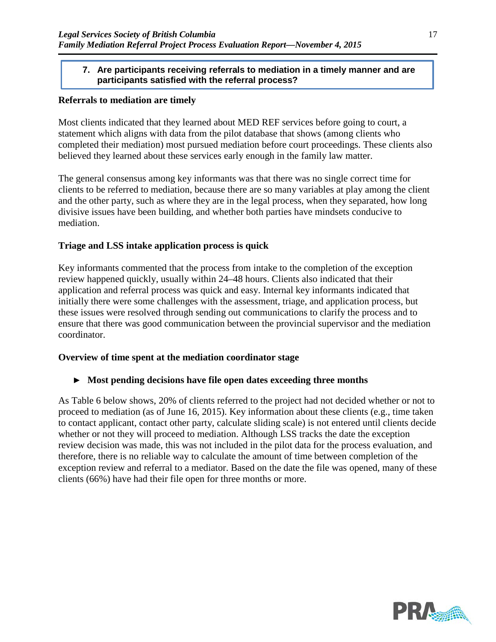#### **7. Are participants receiving referrals to mediation in a timely manner and are participants satisfied with the referral process?**

#### **Referrals to mediation are timely**

Most clients indicated that they learned about MED REF services before going to court, a statement which aligns with data from the pilot database that shows (among clients who completed their mediation) most pursued mediation before court proceedings. These clients also believed they learned about these services early enough in the family law matter.

The general consensus among key informants was that there was no single correct time for clients to be referred to mediation, because there are so many variables at play among the client and the other party, such as where they are in the legal process, when they separated, how long divisive issues have been building, and whether both parties have mindsets conducive to mediation.

#### **Triage and LSS intake application process is quick**

Key informants commented that the process from intake to the completion of the exception review happened quickly, usually within 24–48 hours. Clients also indicated that their application and referral process was quick and easy. Internal key informants indicated that initially there were some challenges with the assessment, triage, and application process, but these issues were resolved through sending out communications to clarify the process and to ensure that there was good communication between the provincial supervisor and the mediation coordinator.

#### **Overview of time spent at the mediation coordinator stage**

#### ► **Most pending decisions have file open dates exceeding three months**

As [Table 6](#page-21-0) below shows, 20% of clients referred to the project had not decided whether or not to proceed to mediation (as of June 16, 2015). Key information about these clients (e.g., time taken to contact applicant, contact other party, calculate sliding scale) is not entered until clients decide whether or not they will proceed to mediation. Although LSS tracks the date the exception review decision was made, this was not included in the pilot data for the process evaluation, and therefore, there is no reliable way to calculate the amount of time between completion of the exception review and referral to a mediator. Based on the date the file was opened, many of these clients (66%) have had their file open for three months or more.

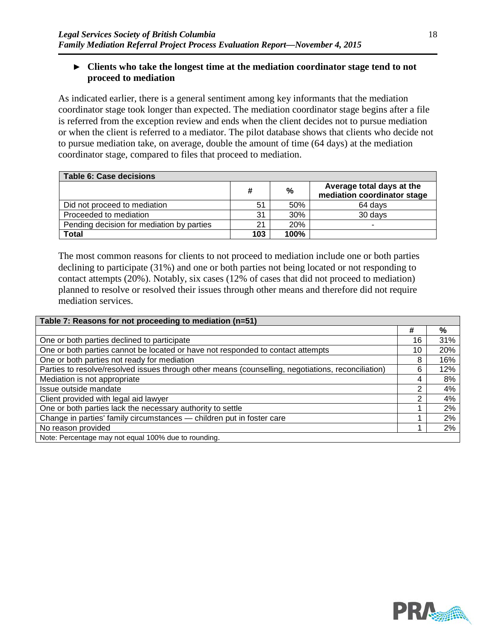### ► **Clients who take the longest time at the mediation coordinator stage tend to not proceed to mediation**

As indicated earlier, there is a general sentiment among key informants that the mediation coordinator stage took longer than expected. The mediation coordinator stage begins after a file is referred from the exception review and ends when the client decides not to pursue mediation or when the client is referred to a mediator. The pilot database shows that clients who decide not to pursue mediation take, on average, double the amount of time (64 days) at the mediation coordinator stage, compared to files that proceed to mediation.

<span id="page-21-0"></span>

| <b>Table 6: Case decisions</b>            |     |               |                                                          |  |  |  |  |
|-------------------------------------------|-----|---------------|----------------------------------------------------------|--|--|--|--|
|                                           | #   | $\frac{0}{0}$ | Average total days at the<br>mediation coordinator stage |  |  |  |  |
| Did not proceed to mediation              | 51  | 50%           | 64 davs                                                  |  |  |  |  |
| Proceeded to mediation                    | 31  | 30%           | 30 days                                                  |  |  |  |  |
| Pending decision for mediation by parties | 21  | <b>20%</b>    | -                                                        |  |  |  |  |
| Total                                     | 103 | 100%          |                                                          |  |  |  |  |

The most common reasons for clients to not proceed to mediation include one or both parties declining to participate (31%) and one or both parties not being located or not responding to contact attempts (20%). Notably, six cases (12% of cases that did not proceed to mediation) planned to resolve or resolved their issues through other means and therefore did not require mediation services.

| Table 7: Reasons for not proceeding to mediation (n=51)                                            |    |     |  |  |  |  |  |
|----------------------------------------------------------------------------------------------------|----|-----|--|--|--|--|--|
|                                                                                                    | #  | %   |  |  |  |  |  |
| One or both parties declined to participate                                                        | 16 | 31% |  |  |  |  |  |
| One or both parties cannot be located or have not responded to contact attempts                    | 10 | 20% |  |  |  |  |  |
| One or both parties not ready for mediation                                                        | 8  | 16% |  |  |  |  |  |
| Parties to resolve/resolved issues through other means (counselling, negotiations, reconciliation) | 6  | 12% |  |  |  |  |  |
| Mediation is not appropriate                                                                       | 4  | 8%  |  |  |  |  |  |
| Issue outside mandate                                                                              | ⌒  | 4%  |  |  |  |  |  |
| Client provided with legal aid lawyer                                                              | າ  | 4%  |  |  |  |  |  |
| One or both parties lack the necessary authority to settle                                         |    | 2%  |  |  |  |  |  |
| Change in parties' family circumstances - children put in foster care                              |    | 2%  |  |  |  |  |  |
| No reason provided                                                                                 |    | 2%  |  |  |  |  |  |
| Note: Percentage may not equal 100% due to rounding.                                               |    |     |  |  |  |  |  |

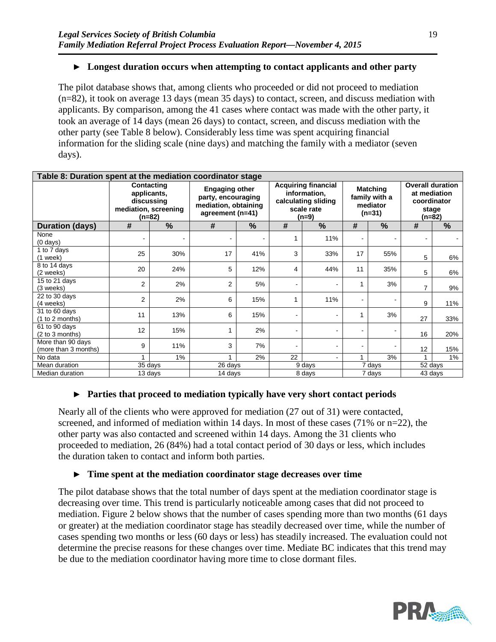## ► **Longest duration occurs when attempting to contact applicants and other party**

The pilot database shows that, among clients who proceeded or did not proceed to mediation (n=82), it took on average 13 days (mean 35 days) to contact, screen, and discuss mediation with applicants. By comparison, among the 41 cases where contact was made with the other party, it took an average of 14 days (mean 26 days) to contact, screen, and discuss mediation with the other party (see [Table 8](#page-22-0) below). Considerably less time was spent acquiring financial information for the sliding scale (nine days) and matching the family with a mediator (seven days).

<span id="page-22-0"></span>

| Table 8: Duration spent at the mediation coordinator stage |                                                                           |                |                                                                                         |                |                                                                                          |               |                                                          |                     |                                                                             |                      |
|------------------------------------------------------------|---------------------------------------------------------------------------|----------------|-----------------------------------------------------------------------------------------|----------------|------------------------------------------------------------------------------------------|---------------|----------------------------------------------------------|---------------------|-----------------------------------------------------------------------------|----------------------|
|                                                            | Contacting<br>applicants,<br>discussing<br>mediation, screening<br>(n=82) |                | <b>Engaging other</b><br>party, encouraging<br>mediation, obtaining<br>agreement (n=41) |                | <b>Acquiring financial</b><br>information,<br>calculating sliding<br>scale rate<br>(n=9) |               | <b>Matching</b><br>family with a<br>mediator<br>$(n=31)$ |                     | <b>Overall duration</b><br>at mediation<br>coordinator<br>stage<br>$(n=82)$ |                      |
| <b>Duration (days)</b>                                     | #                                                                         | $\frac{0}{0}$  | #                                                                                       | $\%$           | #                                                                                        | $\frac{0}{0}$ | #                                                        | $\%$                | #                                                                           | $\frac{9}{6}$        |
| None<br>$(0 \text{ days})$                                 | ۰                                                                         | $\blacksquare$ | $\blacksquare$                                                                          | $\blacksquare$ |                                                                                          | 11%           | ۰                                                        | ۰                   | ۰                                                                           |                      |
| 1 to 7 days<br>$(1$ week)                                  | 25                                                                        | 30%            | 17                                                                                      | 41%            | 3                                                                                        | 33%           | 17                                                       | 55%                 | 5                                                                           | 6%                   |
| 8 to 14 days<br>(2 weeks)                                  | 20                                                                        | 24%            | 5                                                                                       | 12%            | 4                                                                                        | 44%           | 11                                                       | 35%                 | 5                                                                           | 6%                   |
| 15 to 21 days<br>(3 weeks)                                 | $\overline{2}$                                                            | 2%             | $\overline{2}$                                                                          | 5%             |                                                                                          |               | 1                                                        | 3%                  | $\overline{7}$                                                              | 9%                   |
| 22 to 30 days<br>(4 weeks)                                 | $\overline{2}$                                                            | 2%             | 6                                                                                       | 15%            |                                                                                          | 11%           | ۰                                                        |                     | 9                                                                           | 11%                  |
| 31 to 60 days<br>(1 to 2 months)                           | 11                                                                        | 13%            | 6                                                                                       | 15%            |                                                                                          |               | 1                                                        | 3%                  | 27                                                                          | 33%                  |
| 61 to 90 days<br>(2 to 3 months)                           | 12                                                                        | 15%            |                                                                                         | 2%             | ٠                                                                                        |               | ۰                                                        |                     | 16                                                                          | 20%                  |
| More than 90 days<br>(more than 3 months)                  | 9                                                                         | 11%            | 3                                                                                       | 7%             |                                                                                          |               | ۰                                                        |                     | 12                                                                          | 15%                  |
| No data                                                    |                                                                           | $1\%$          |                                                                                         | 2%             | 22                                                                                       |               | 1                                                        | 3%                  |                                                                             | $1\%$                |
| Mean duration                                              | $\overline{3}5$ days                                                      |                | 26 days                                                                                 |                |                                                                                          | 9 days        |                                                          | $\overline{7}$ days |                                                                             | $\overline{5}2$ days |
| Median duration                                            |                                                                           | 13 days        | 14 days                                                                                 |                |                                                                                          | 8 days        |                                                          | 7 days              |                                                                             | 43 days              |

## ► **Parties that proceed to mediation typically have very short contact periods**

Nearly all of the clients who were approved for mediation (27 out of 31) were contacted, screened, and informed of mediation within 14 days. In most of these cases (71% or n=22), the other party was also contacted and screened within 14 days. Among the 31 clients who proceeded to mediation, 26 (84%) had a total contact period of 30 days or less, which includes the duration taken to contact and inform both parties.

#### ► **Time spent at the mediation coordinator stage decreases over time**

The pilot database shows that the total number of days spent at the mediation coordinator stage is decreasing over time. This trend is particularly noticeable among cases that did not proceed to mediation. [Figure 2](#page-23-0) below shows that the number of cases spending more than two months (61 days or greater) at the mediation coordinator stage has steadily decreased over time, while the number of cases spending two months or less (60 days or less) has steadily increased. The evaluation could not determine the precise reasons for these changes over time. Mediate BC indicates that this trend may be due to the mediation coordinator having more time to close dormant files.

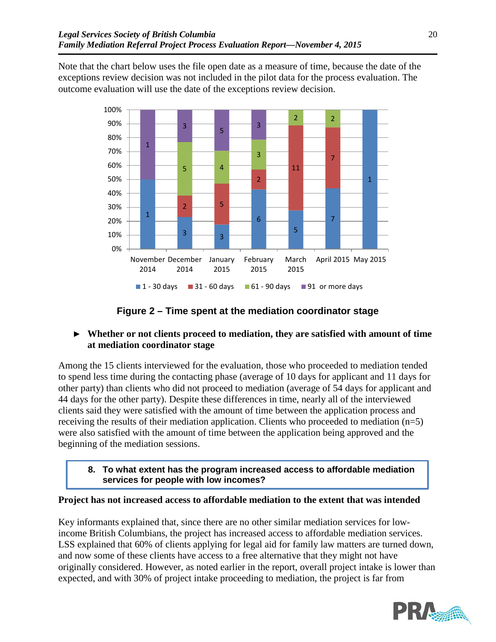Note that the chart below uses the file open date as a measure of time, because the date of the exceptions review decision was not included in the pilot data for the process evaluation. The outcome evaluation will use the date of the exceptions review decision.



## **Figure 2 – Time spent at the mediation coordinator stage**

## <span id="page-23-0"></span>► **Whether or not clients proceed to mediation, they are satisfied with amount of time at mediation coordinator stage**

Among the 15 clients interviewed for the evaluation, those who proceeded to mediation tended to spend less time during the contacting phase (average of 10 days for applicant and 11 days for other party) than clients who did not proceed to mediation (average of 54 days for applicant and 44 days for the other party). Despite these differences in time, nearly all of the interviewed clients said they were satisfied with the amount of time between the application process and receiving the results of their mediation application. Clients who proceeded to mediation (n=5) were also satisfied with the amount of time between the application being approved and the beginning of the mediation sessions.

**8. To what extent has the program increased access to affordable mediation services for people with low incomes?**

#### **Project has not increased access to affordable mediation to the extent that was intended**

Key informants explained that, since there are no other similar mediation services for lowincome British Columbians, the project has increased access to affordable mediation services. LSS explained that 60% of clients applying for legal aid for family law matters are turned down, and now some of these clients have access to a free alternative that they might not have originally considered. However, as noted earlier in the report, overall project intake is lower than expected, and with 30% of project intake proceeding to mediation, the project is far from

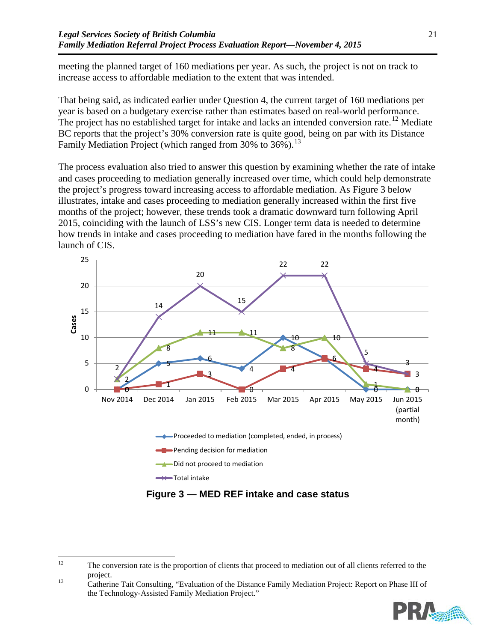meeting the planned target of 160 mediations per year. As such, the project is not on track to increase access to affordable mediation to the extent that was intended.

That being said, as indicated earlier under Question 4, the current target of 160 mediations per year is based on a budgetary exercise rather than estimates based on real-world performance. The project has no established target for intake and lacks an intended conversion rate.<sup>[12](#page-24-0)</sup> Mediate BC reports that the project's 30% conversion rate is quite good, being on par with its Distance Family Mediation Project (which ranged from 30% to 36%).<sup>[13](#page-24-1)</sup>

The process evaluation also tried to answer this question by examining whether the rate of intake and cases proceeding to mediation generally increased over time, which could help demonstrate the project's progress toward increasing access to affordable mediation. As Figure 3 below illustrates, intake and cases proceeding to mediation generally increased within the first five months of the project; however, these trends took a dramatic downward turn following April 2015, coinciding with the launch of LSS's new CIS. Longer term data is needed to determine how trends in intake and cases proceeding to mediation have fared in the months following the launch of CIS.



**Figure 3 — MED REF intake and case status**

<span id="page-24-1"></span>the Technology-Assisted Family Mediation Project."



<span id="page-24-0"></span><sup>&</sup>lt;sup>12</sup> The conversion rate is the proportion of clients that proceed to mediation out of all clients referred to the project.<br>Catherine Tait Consulting, "Evaluation of the Distance Family Mediation Project: Report on Phase III of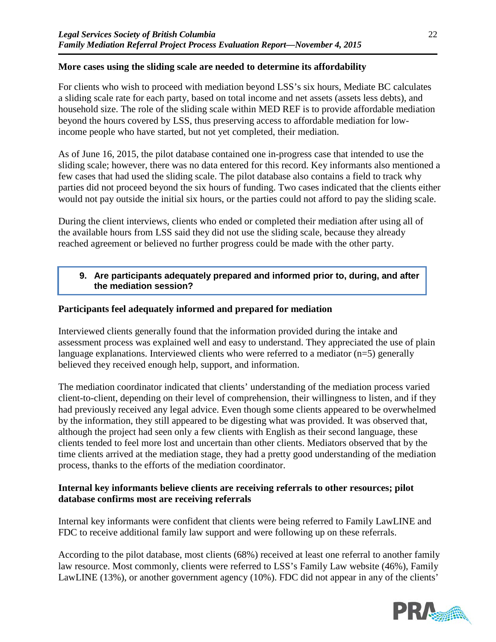### **More cases using the sliding scale are needed to determine its affordability**

For clients who wish to proceed with mediation beyond LSS's six hours, Mediate BC calculates a sliding scale rate for each party, based on total income and net assets (assets less debts), and household size. The role of the sliding scale within MED REF is to provide affordable mediation beyond the hours covered by LSS, thus preserving access to affordable mediation for lowincome people who have started, but not yet completed, their mediation.

As of June 16, 2015, the pilot database contained one in-progress case that intended to use the sliding scale; however, there was no data entered for this record. Key informants also mentioned a few cases that had used the sliding scale. The pilot database also contains a field to track why parties did not proceed beyond the six hours of funding. Two cases indicated that the clients either would not pay outside the initial six hours, or the parties could not afford to pay the sliding scale.

During the client interviews, clients who ended or completed their mediation after using all of the available hours from LSS said they did not use the sliding scale, because they already reached agreement or believed no further progress could be made with the other party.

#### **9. Are participants adequately prepared and informed prior to, during, and after the mediation session?**

#### **Participants feel adequately informed and prepared for mediation**

Interviewed clients generally found that the information provided during the intake and assessment process was explained well and easy to understand. They appreciated the use of plain language explanations. Interviewed clients who were referred to a mediator (n=5) generally believed they received enough help, support, and information.

The mediation coordinator indicated that clients' understanding of the mediation process varied client-to-client, depending on their level of comprehension, their willingness to listen, and if they had previously received any legal advice. Even though some clients appeared to be overwhelmed by the information, they still appeared to be digesting what was provided. It was observed that, although the project had seen only a few clients with English as their second language, these clients tended to feel more lost and uncertain than other clients. Mediators observed that by the time clients arrived at the mediation stage, they had a pretty good understanding of the mediation process, thanks to the efforts of the mediation coordinator.

### **Internal key informants believe clients are receiving referrals to other resources; pilot database confirms most are receiving referrals**

Internal key informants were confident that clients were being referred to Family LawLINE and FDC to receive additional family law support and were following up on these referrals.

According to the pilot database, most clients (68%) received at least one referral to another family law resource. Most commonly, clients were referred to LSS's Family Law website (46%), Family LawLINE (13%), or another government agency (10%). FDC did not appear in any of the clients'

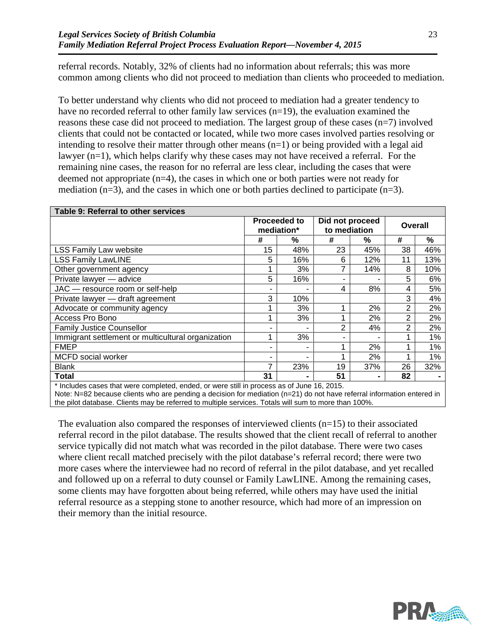referral records. Notably, 32% of clients had no information about referrals; this was more common among clients who did not proceed to mediation than clients who proceeded to mediation.

To better understand why clients who did not proceed to mediation had a greater tendency to have no recorded referral to other family law services (n=19), the evaluation examined the reasons these case did not proceed to mediation. The largest group of these cases (n=7) involved clients that could not be contacted or located, while two more cases involved parties resolving or intending to resolve their matter through other means (n=1) or being provided with a legal aid lawyer (n=1), which helps clarify why these cases may not have received a referral. For the remaining nine cases, the reason for no referral are less clear, including the cases that were deemed not appropriate (n=4), the cases in which one or both parties were not ready for mediation  $(n=3)$ , and the cases in which one or both parties declined to participate  $(n=3)$ .

| Table 9: Referral to other services                                                        |                                   |     |                                 |     |                |     |  |
|--------------------------------------------------------------------------------------------|-----------------------------------|-----|---------------------------------|-----|----------------|-----|--|
|                                                                                            | <b>Proceeded to</b><br>mediation* |     | Did not proceed<br>to mediation |     | <b>Overall</b> |     |  |
|                                                                                            | #                                 | ℅   | #                               | %   | #              | %   |  |
| <b>LSS Family Law website</b>                                                              | 15                                | 48% | 23                              | 45% | 38             | 46% |  |
| <b>LSS Family LawLINE</b>                                                                  | 5                                 | 16% | 6                               | 12% | 11             | 13% |  |
| Other government agency                                                                    |                                   | 3%  | 7                               | 14% | 8              | 10% |  |
| Private lawyer - advice                                                                    | 5                                 | 16% | ۰                               |     | 5              | 6%  |  |
| JAC - resource room or self-help                                                           |                                   | ۰   | 4                               | 8%  | 4              | 5%  |  |
| Private lawyer - draft agreement                                                           | 3                                 | 10% |                                 |     | 3              | 4%  |  |
| Advocate or community agency                                                               |                                   | 3%  |                                 | 2%  | 2              | 2%  |  |
| Access Pro Bono                                                                            |                                   | 3%  |                                 | 2%  | $\overline{2}$ | 2%  |  |
| <b>Family Justice Counsellor</b>                                                           |                                   | ۰   | 2                               | 4%  | 2              | 2%  |  |
| Immigrant settlement or multicultural organization                                         |                                   | 3%  | ۰                               |     |                | 1%  |  |
| <b>FMEP</b>                                                                                |                                   | ۰   |                                 | 2%  | 1              | 1%  |  |
| MCFD social worker                                                                         |                                   | ۰   |                                 | 2%  | 4              | 1%  |  |
| <b>Blank</b>                                                                               | 7                                 | 23% | 19                              | 37% | 26             | 32% |  |
| Total                                                                                      | 31                                |     | 51                              | ۰   | 82             |     |  |
| * Includes cases that were completed, ended, or were still in process as of June 16, 2015. |                                   |     |                                 |     |                |     |  |

Note: N=82 because clients who are pending a decision for mediation (n=21) do not have referral information entered in the pilot database. Clients may be referred to multiple services. Totals will sum to more than 100%.

The evaluation also compared the responses of interviewed clients  $(n=15)$  to their associated referral record in the pilot database. The results showed that the client recall of referral to another service typically did not match what was recorded in the pilot database. There were two cases where client recall matched precisely with the pilot database's referral record; there were two more cases where the interviewee had no record of referral in the pilot database, and yet recalled and followed up on a referral to duty counsel or Family LawLINE. Among the remaining cases, some clients may have forgotten about being referred, while others may have used the initial referral resource as a stepping stone to another resource, which had more of an impression on their memory than the initial resource.

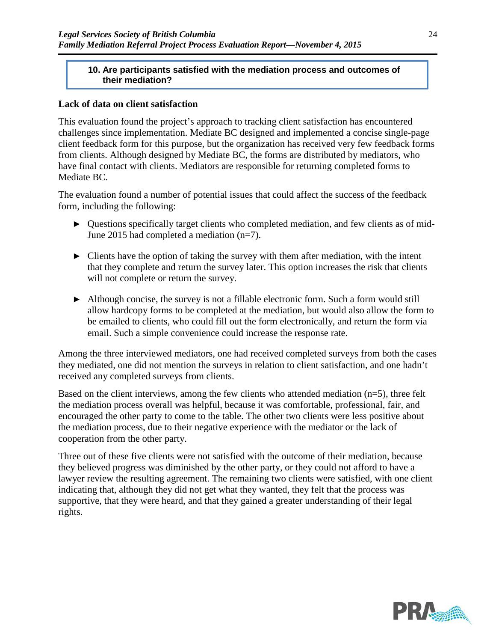#### **10. Are participants satisfied with the mediation process and outcomes of their mediation?**

#### **Lack of data on client satisfaction**

This evaluation found the project's approach to tracking client satisfaction has encountered challenges since implementation. Mediate BC designed and implemented a concise single-page client feedback form for this purpose, but the organization has received very few feedback forms from clients. Although designed by Mediate BC, the forms are distributed by mediators, who have final contact with clients. Mediators are responsible for returning completed forms to Mediate BC.

The evaluation found a number of potential issues that could affect the success of the feedback form, including the following:

- ► Questions specifically target clients who completed mediation, and few clients as of mid-June 2015 had completed a mediation (n=7).
- $\triangleright$  Clients have the option of taking the survey with them after mediation, with the intent that they complete and return the survey later. This option increases the risk that clients will not complete or return the survey.
- ► Although concise, the survey is not a fillable electronic form. Such a form would still allow hardcopy forms to be completed at the mediation, but would also allow the form to be emailed to clients, who could fill out the form electronically, and return the form via email. Such a simple convenience could increase the response rate.

Among the three interviewed mediators, one had received completed surveys from both the cases they mediated, one did not mention the surveys in relation to client satisfaction, and one hadn't received any completed surveys from clients.

Based on the client interviews, among the few clients who attended mediation  $(n=5)$ , three felt the mediation process overall was helpful, because it was comfortable, professional, fair, and encouraged the other party to come to the table. The other two clients were less positive about the mediation process, due to their negative experience with the mediator or the lack of cooperation from the other party.

Three out of these five clients were not satisfied with the outcome of their mediation, because they believed progress was diminished by the other party, or they could not afford to have a lawyer review the resulting agreement. The remaining two clients were satisfied, with one client indicating that, although they did not get what they wanted, they felt that the process was supportive, that they were heard, and that they gained a greater understanding of their legal rights.

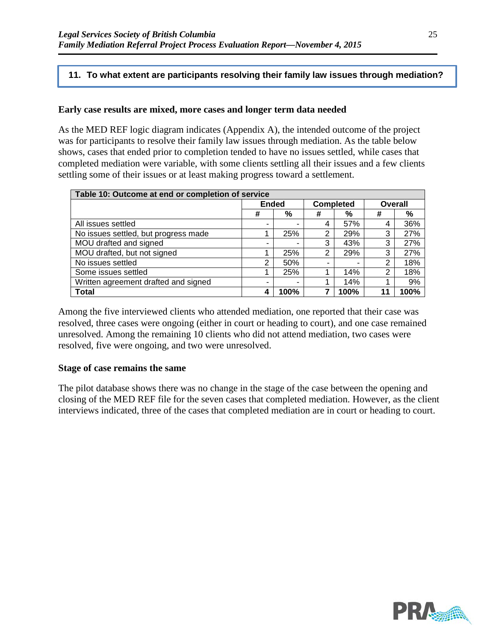#### **11. To what extent are participants resolving their family law issues through mediation?**

#### **Early case results are mixed, more cases and longer term data needed**

As the MED REF logic diagram indicates (Appendix A), the intended outcome of the project was for participants to resolve their family law issues through mediation. As the table below shows, cases that ended prior to completion tended to have no issues settled, while cases that completed mediation were variable, with some clients settling all their issues and a few clients settling some of their issues or at least making progress toward a settlement.

| Table 10: Outcome at end or completion of service |              |      |                          |      |                |      |  |
|---------------------------------------------------|--------------|------|--------------------------|------|----------------|------|--|
|                                                   | <b>Ended</b> |      | <b>Completed</b>         |      | <b>Overall</b> |      |  |
|                                                   | #            | %    | #                        | %    | #              | %    |  |
| All issues settled                                | ۰            |      | 4                        | 57%  |                | 36%  |  |
| No issues settled, but progress made              |              | 25%  | $\overline{2}$           | 29%  | 3              | 27%  |  |
| MOU drafted and signed                            | -            |      | 3                        | 43%  | 3              | 27%  |  |
| MOU drafted, but not signed                       |              | 25%  | 2                        | 29%  | 3              | 27%  |  |
| No issues settled                                 | 2            | 50%  | $\overline{\phantom{0}}$ |      | 2              | 18%  |  |
| Some issues settled                               |              | 25%  |                          | 14%  | っ              | 18%  |  |
| Written agreement drafted and signed              |              | -    |                          | 14%  |                | 9%   |  |
| <b>Total</b>                                      |              | 100% | 7                        | 100% | 11             | 100% |  |

Among the five interviewed clients who attended mediation, one reported that their case was resolved, three cases were ongoing (either in court or heading to court), and one case remained unresolved. Among the remaining 10 clients who did not attend mediation, two cases were resolved, five were ongoing, and two were unresolved.

#### **Stage of case remains the same**

The pilot database shows there was no change in the stage of the case between the opening and closing of the MED REF file for the seven cases that completed mediation. However, as the client interviews indicated, three of the cases that completed mediation are in court or heading to court.

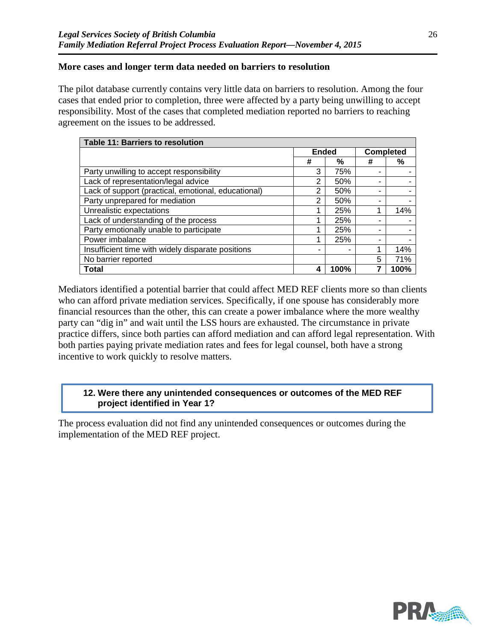### **More cases and longer term data needed on barriers to resolution**

The pilot database currently contains very little data on barriers to resolution. Among the four cases that ended prior to completion, three were affected by a party being unwilling to accept responsibility. Most of the cases that completed mediation reported no barriers to reaching agreement on the issues to be addressed.

| Table 11: Barriers to resolution                    |              |      |                  |      |  |  |
|-----------------------------------------------------|--------------|------|------------------|------|--|--|
|                                                     | <b>Ended</b> |      | <b>Completed</b> |      |  |  |
|                                                     | #            | %    | #                | %    |  |  |
| Party unwilling to accept responsibility            | 3            | 75%  |                  |      |  |  |
| Lack of representation/legal advice                 | 2            | 50%  |                  |      |  |  |
| Lack of support (practical, emotional, educational) | 2            | 50%  | -                |      |  |  |
| Party unprepared for mediation                      | 2            | 50%  |                  |      |  |  |
| Unrealistic expectations                            |              | 25%  |                  | 14%  |  |  |
| Lack of understanding of the process                |              | 25%  |                  |      |  |  |
| Party emotionally unable to participate             |              | 25%  |                  |      |  |  |
| Power imbalance                                     |              | 25%  |                  |      |  |  |
| Insufficient time with widely disparate positions   |              |      |                  | 14%  |  |  |
| No barrier reported                                 |              |      | 5                | 71%  |  |  |
| <b>Total</b>                                        | Δ            | 100% |                  | 100% |  |  |

Mediators identified a potential barrier that could affect MED REF clients more so than clients who can afford private mediation services. Specifically, if one spouse has considerably more financial resources than the other, this can create a power imbalance where the more wealthy party can "dig in" and wait until the LSS hours are exhausted. The circumstance in private practice differs, since both parties can afford mediation and can afford legal representation. With both parties paying private mediation rates and fees for legal counsel, both have a strong incentive to work quickly to resolve matters.

### **12. Were there any unintended consequences or outcomes of the MED REF project identified in Year 1?**

The process evaluation did not find any unintended consequences or outcomes during the implementation of the MED REF project.



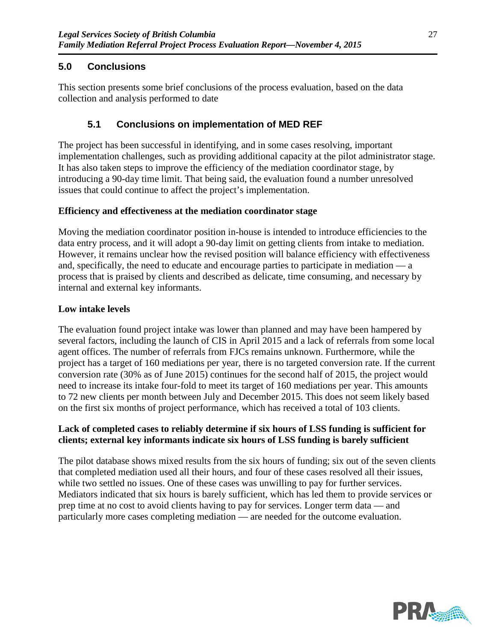# **5.0 Conclusions**

This section presents some brief conclusions of the process evaluation, based on the data collection and analysis performed to date

# **5.1 Conclusions on implementation of MED REF**

The project has been successful in identifying, and in some cases resolving, important implementation challenges, such as providing additional capacity at the pilot administrator stage. It has also taken steps to improve the efficiency of the mediation coordinator stage, by introducing a 90-day time limit. That being said, the evaluation found a number unresolved issues that could continue to affect the project's implementation.

## **Efficiency and effectiveness at the mediation coordinator stage**

Moving the mediation coordinator position in-house is intended to introduce efficiencies to the data entry process, and it will adopt a 90-day limit on getting clients from intake to mediation. However, it remains unclear how the revised position will balance efficiency with effectiveness and, specifically, the need to educate and encourage parties to participate in mediation — a process that is praised by clients and described as delicate, time consuming, and necessary by internal and external key informants.

## **Low intake levels**

The evaluation found project intake was lower than planned and may have been hampered by several factors, including the launch of CIS in April 2015 and a lack of referrals from some local agent offices. The number of referrals from FJCs remains unknown. Furthermore, while the project has a target of 160 mediations per year, there is no targeted conversion rate. If the current conversion rate (30% as of June 2015) continues for the second half of 2015, the project would need to increase its intake four-fold to meet its target of 160 mediations per year. This amounts to 72 new clients per month between July and December 2015. This does not seem likely based on the first six months of project performance, which has received a total of 103 clients.

## **Lack of completed cases to reliably determine if six hours of LSS funding is sufficient for clients; external key informants indicate six hours of LSS funding is barely sufficient**

The pilot database shows mixed results from the six hours of funding; six out of the seven clients that completed mediation used all their hours, and four of these cases resolved all their issues, while two settled no issues. One of these cases was unwilling to pay for further services. Mediators indicated that six hours is barely sufficient, which has led them to provide services or prep time at no cost to avoid clients having to pay for services. Longer term data — and particularly more cases completing mediation — are needed for the outcome evaluation.

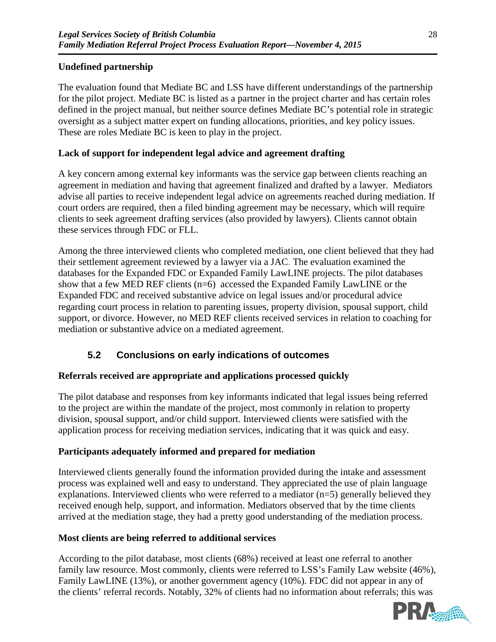## **Undefined partnership**

The evaluation found that Mediate BC and LSS have different understandings of the partnership for the pilot project. Mediate BC is listed as a partner in the project charter and has certain roles defined in the project manual, but neither source defines Mediate BC's potential role in strategic oversight as a subject matter expert on funding allocations, priorities, and key policy issues. These are roles Mediate BC is keen to play in the project.

### **Lack of support for independent legal advice and agreement drafting**

A key concern among external key informants was the service gap between clients reaching an agreement in mediation and having that agreement finalized and drafted by a lawyer. Mediators advise all parties to receive independent legal advice on agreements reached during mediation. If court orders are required, then a filed binding agreement may be necessary, which will require clients to seek agreement drafting services (also provided by lawyers). Clients cannot obtain these services through FDC or FLL.

Among the three interviewed clients who completed mediation, one client believed that they had their settlement agreement reviewed by a lawyer via a JAC. The evaluation examined the databases for the Expanded FDC or Expanded Family LawLINE projects. The pilot databases show that a few MED REF clients (n=6) accessed the Expanded Family LawLINE or the Expanded FDC and received substantive advice on legal issues and/or procedural advice regarding court process in relation to parenting issues, property division, spousal support, child support, or divorce. However, no MED REF clients received services in relation to coaching for mediation or substantive advice on a mediated agreement.

# **5.2 Conclusions on early indications of outcomes**

## **Referrals received are appropriate and applications processed quickly**

The pilot database and responses from key informants indicated that legal issues being referred to the project are within the mandate of the project, most commonly in relation to property division, spousal support, and/or child support. Interviewed clients were satisfied with the application process for receiving mediation services, indicating that it was quick and easy.

## **Participants adequately informed and prepared for mediation**

Interviewed clients generally found the information provided during the intake and assessment process was explained well and easy to understand. They appreciated the use of plain language explanations. Interviewed clients who were referred to a mediator (n=5) generally believed they received enough help, support, and information. Mediators observed that by the time clients arrived at the mediation stage, they had a pretty good understanding of the mediation process.

#### **Most clients are being referred to additional services**

According to the pilot database, most clients (68%) received at least one referral to another family law resource. Most commonly, clients were referred to LSS's Family Law website (46%), Family LawLINE (13%), or another government agency (10%). FDC did not appear in any of the clients' referral records. Notably, 32% of clients had no information about referrals; this was

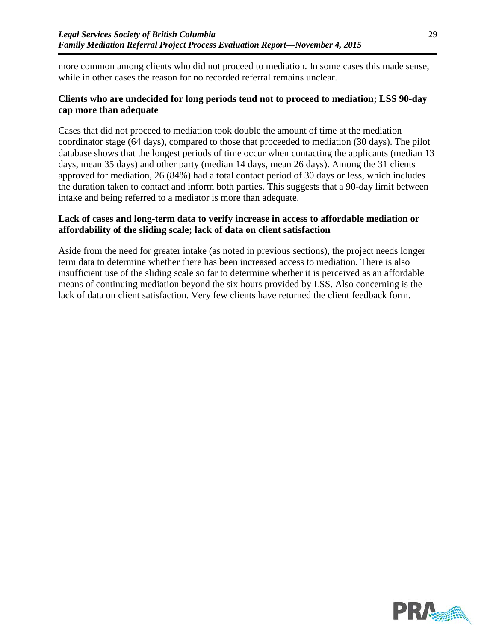more common among clients who did not proceed to mediation. In some cases this made sense, while in other cases the reason for no recorded referral remains unclear.

#### **Clients who are undecided for long periods tend not to proceed to mediation; LSS 90-day cap more than adequate**

Cases that did not proceed to mediation took double the amount of time at the mediation coordinator stage (64 days), compared to those that proceeded to mediation (30 days). The pilot database shows that the longest periods of time occur when contacting the applicants (median 13 days, mean 35 days) and other party (median 14 days, mean 26 days). Among the 31 clients approved for mediation, 26 (84%) had a total contact period of 30 days or less, which includes the duration taken to contact and inform both parties. This suggests that a 90-day limit between intake and being referred to a mediator is more than adequate.

## **Lack of cases and long-term data to verify increase in access to affordable mediation or affordability of the sliding scale; lack of data on client satisfaction**

Aside from the need for greater intake (as noted in previous sections), the project needs longer term data to determine whether there has been increased access to mediation. There is also insufficient use of the sliding scale so far to determine whether it is perceived as an affordable means of continuing mediation beyond the six hours provided by LSS. Also concerning is the lack of data on client satisfaction. Very few clients have returned the client feedback form.

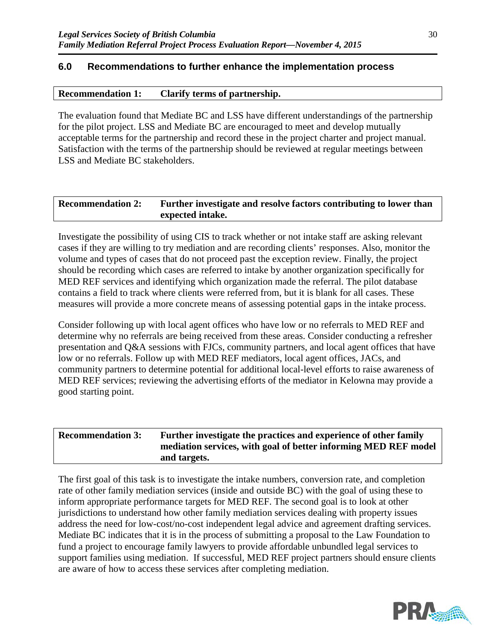### **6.0 Recommendations to further enhance the implementation process**

#### **Recommendation 1: Clarify terms of partnership.**

The evaluation found that Mediate BC and LSS have different understandings of the partnership for the pilot project. LSS and Mediate BC are encouraged to meet and develop mutually acceptable terms for the partnership and record these in the project charter and project manual. Satisfaction with the terms of the partnership should be reviewed at regular meetings between LSS and Mediate BC stakeholders.

| <b>Recommendation 2:</b> | Further investigate and resolve factors contributing to lower than |  |  |  |
|--------------------------|--------------------------------------------------------------------|--|--|--|
|                          | expected intake.                                                   |  |  |  |

Investigate the possibility of using CIS to track whether or not intake staff are asking relevant cases if they are willing to try mediation and are recording clients' responses. Also, monitor the volume and types of cases that do not proceed past the exception review. Finally, the project should be recording which cases are referred to intake by another organization specifically for MED REF services and identifying which organization made the referral. The pilot database contains a field to track where clients were referred from, but it is blank for all cases. These measures will provide a more concrete means of assessing potential gaps in the intake process.

Consider following up with local agent offices who have low or no referrals to MED REF and determine why no referrals are being received from these areas. Consider conducting a refresher presentation and Q&A sessions with FJCs, community partners, and local agent offices that have low or no referrals. Follow up with MED REF mediators, local agent offices, JACs, and community partners to determine potential for additional local-level efforts to raise awareness of MED REF services; reviewing the advertising efforts of the mediator in Kelowna may provide a good starting point.

| <b>Recommendation 3:</b> | Further investigate the practices and experience of other family |  |  |  |
|--------------------------|------------------------------------------------------------------|--|--|--|
|                          | mediation services, with goal of better informing MED REF model  |  |  |  |
|                          | and targets.                                                     |  |  |  |

The first goal of this task is to investigate the intake numbers, conversion rate, and completion rate of other family mediation services (inside and outside BC) with the goal of using these to inform appropriate performance targets for MED REF. The second goal is to look at other jurisdictions to understand how other family mediation services dealing with property issues address the need for low-cost/no-cost independent legal advice and agreement drafting services. Mediate BC indicates that it is in the process of submitting a proposal to the Law Foundation to fund a project to encourage family lawyers to provide affordable unbundled legal services to support families using mediation. If successful, MED REF project partners should ensure clients are aware of how to access these services after completing mediation.

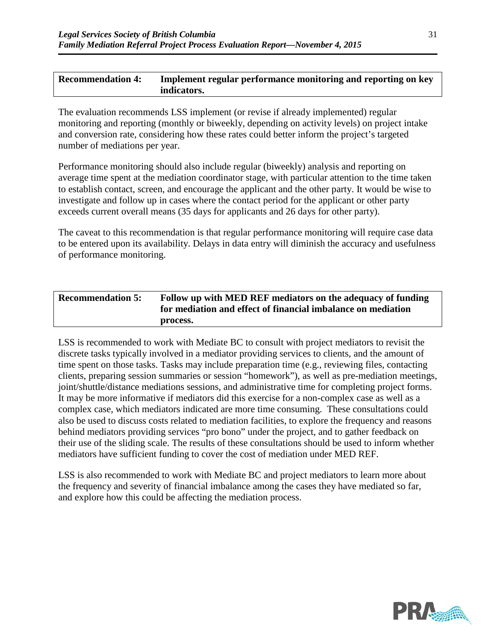### **Recommendation 4: Implement regular performance monitoring and reporting on key indicators.**

The evaluation recommends LSS implement (or revise if already implemented) regular monitoring and reporting (monthly or biweekly, depending on activity levels) on project intake and conversion rate, considering how these rates could better inform the project's targeted number of mediations per year.

Performance monitoring should also include regular (biweekly) analysis and reporting on average time spent at the mediation coordinator stage, with particular attention to the time taken to establish contact, screen, and encourage the applicant and the other party. It would be wise to investigate and follow up in cases where the contact period for the applicant or other party exceeds current overall means (35 days for applicants and 26 days for other party).

The caveat to this recommendation is that regular performance monitoring will require case data to be entered upon its availability. Delays in data entry will diminish the accuracy and usefulness of performance monitoring.

| <b>Recommendation 5:</b> | Follow up with MED REF mediators on the adequacy of funding<br>for mediation and effect of financial imbalance on mediation |
|--------------------------|-----------------------------------------------------------------------------------------------------------------------------|
|                          | process.                                                                                                                    |

LSS is recommended to work with Mediate BC to consult with project mediators to revisit the discrete tasks typically involved in a mediator providing services to clients, and the amount of time spent on those tasks. Tasks may include preparation time (e.g., reviewing files, contacting clients, preparing session summaries or session "homework"), as well as pre-mediation meetings, joint/shuttle/distance mediations sessions, and administrative time for completing project forms. It may be more informative if mediators did this exercise for a non-complex case as well as a complex case, which mediators indicated are more time consuming. These consultations could also be used to discuss costs related to mediation facilities, to explore the frequency and reasons behind mediators providing services "pro bono" under the project, and to gather feedback on their use of the sliding scale. The results of these consultations should be used to inform whether mediators have sufficient funding to cover the cost of mediation under MED REF.

LSS is also recommended to work with Mediate BC and project mediators to learn more about the frequency and severity of financial imbalance among the cases they have mediated so far, and explore how this could be affecting the mediation process.

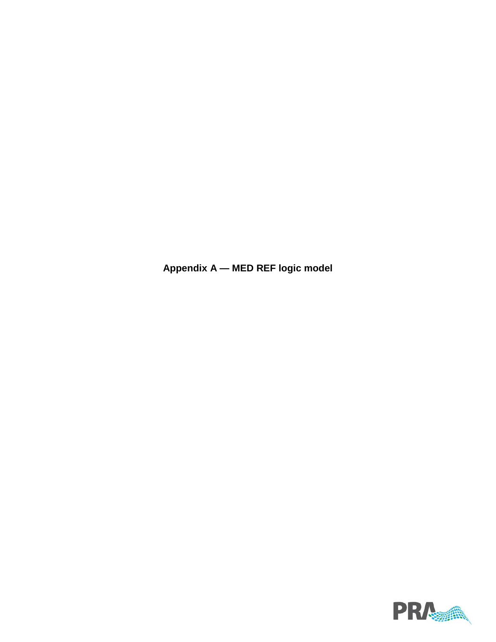**Appendix A — MED REF logic model**

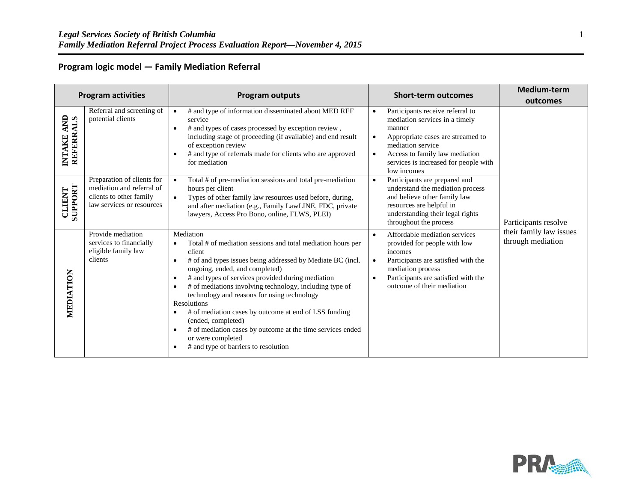### **Program logic model — Family Mediation Referral**

|                                          | <b>Program activities</b>                                                                                       | <b>Program outputs</b>                                                                                                                                                                                                                                                                                                                                                                                                                                                                                                                                                                                                                      | <b>Short-term outcomes</b>          |                                                                                                                                                                                                                                  | Medium-term<br>outcomes                      |
|------------------------------------------|-----------------------------------------------------------------------------------------------------------------|---------------------------------------------------------------------------------------------------------------------------------------------------------------------------------------------------------------------------------------------------------------------------------------------------------------------------------------------------------------------------------------------------------------------------------------------------------------------------------------------------------------------------------------------------------------------------------------------------------------------------------------------|-------------------------------------|----------------------------------------------------------------------------------------------------------------------------------------------------------------------------------------------------------------------------------|----------------------------------------------|
| INTAKE AND<br>REFERRALS<br><b>INTAKE</b> | Referral and screening of<br>potential clients                                                                  | # and type of information disseminated about MED REF<br>$\bullet$<br>service<br># and types of cases processed by exception review,<br>$\bullet$<br>including stage of proceeding (if available) and end result<br>of exception review<br># and type of referrals made for clients who are approved<br>$\bullet$<br>for mediation                                                                                                                                                                                                                                                                                                           | $\bullet$<br>$\bullet$<br>$\bullet$ | Participants receive referral to<br>mediation services in a timely<br>manner<br>Appropriate cases are streamed to<br>mediation service<br>Access to family law mediation<br>services is increased for people with<br>low incomes |                                              |
| SUPPORT<br>CLIENT                        | Preparation of clients for<br>mediation and referral of<br>clients to other family<br>law services or resources | Total # of pre-mediation sessions and total pre-mediation<br>hours per client<br>Types of other family law resources used before, during,<br>$\bullet$<br>and after mediation (e.g., Family LawLINE, FDC, private<br>lawyers, Access Pro Bono, online, FLWS, PLEI)                                                                                                                                                                                                                                                                                                                                                                          | $\bullet$                           | Participants are prepared and<br>understand the mediation process<br>and believe other family law<br>resources are helpful in<br>understanding their legal rights<br>throughout the process                                      | Participants resolve                         |
| MEDIATION                                | Provide mediation<br>services to financially<br>eligible family law<br>clients                                  | Mediation<br>Total # of mediation sessions and total mediation hours per<br>$\bullet$<br>client<br># of and types issues being addressed by Mediate BC (incl.<br>$\bullet$<br>ongoing, ended, and completed)<br># and types of services provided during mediation<br>$\bullet$<br># of mediations involving technology, including type of<br>$\bullet$<br>technology and reasons for using technology<br>Resolutions<br># of mediation cases by outcome at end of LSS funding<br>(ended, completed)<br># of mediation cases by outcome at the time services ended<br>$\bullet$<br>or were completed<br># and type of barriers to resolution |                                     | Affordable mediation services<br>provided for people with low<br>incomes<br>Participants are satisfied with the<br>mediation process<br>Participants are satisfied with the<br>outcome of their mediation                        | their family law issues<br>through mediation |

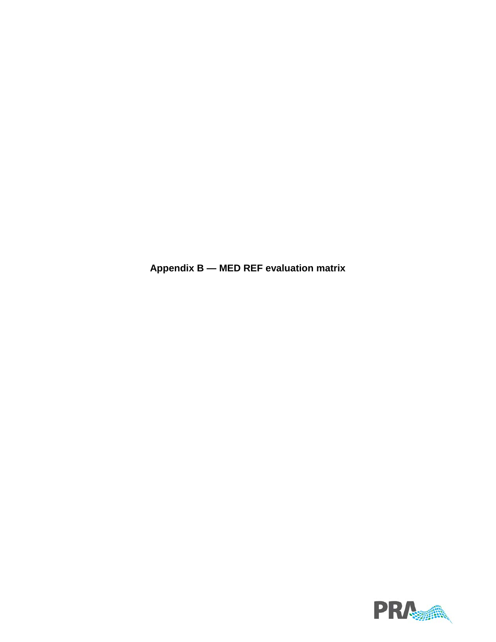**Appendix B — MED REF evaluation matrix**

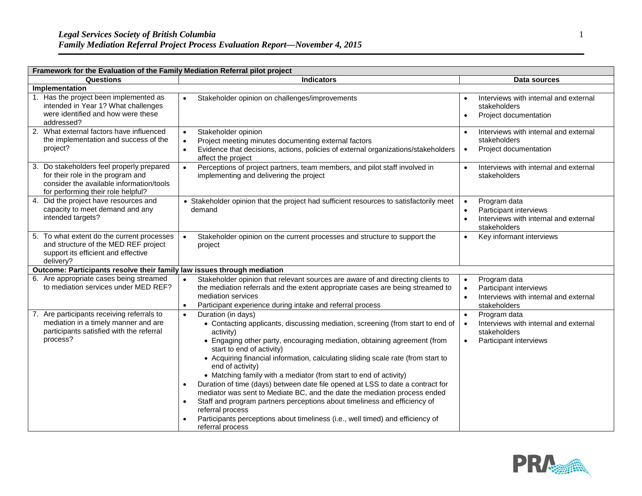| Framework for the Evaluation of the Family Mediation Referral pilot project |                                                                                                                                                                  |                                                                                                                                                                                                                                                                                                                                                                                                                                                                                                                                                                                                                                                                                                                                                                                            |                        |                                                                                                 |  |
|-----------------------------------------------------------------------------|------------------------------------------------------------------------------------------------------------------------------------------------------------------|--------------------------------------------------------------------------------------------------------------------------------------------------------------------------------------------------------------------------------------------------------------------------------------------------------------------------------------------------------------------------------------------------------------------------------------------------------------------------------------------------------------------------------------------------------------------------------------------------------------------------------------------------------------------------------------------------------------------------------------------------------------------------------------------|------------------------|-------------------------------------------------------------------------------------------------|--|
|                                                                             | Questions                                                                                                                                                        | <b>Indicators</b>                                                                                                                                                                                                                                                                                                                                                                                                                                                                                                                                                                                                                                                                                                                                                                          |                        | Data sources                                                                                    |  |
|                                                                             | Implementation                                                                                                                                                   |                                                                                                                                                                                                                                                                                                                                                                                                                                                                                                                                                                                                                                                                                                                                                                                            |                        |                                                                                                 |  |
|                                                                             | 1. Has the project been implemented as<br>intended in Year 1? What challenges<br>were identified and how were these<br>addressed?                                | Stakeholder opinion on challenges/improvements<br>$\bullet$                                                                                                                                                                                                                                                                                                                                                                                                                                                                                                                                                                                                                                                                                                                                | $\bullet$              | Interviews with internal and external<br>stakeholders<br>Project documentation                  |  |
|                                                                             | 2. What external factors have influenced<br>the implementation and success of the<br>project?                                                                    | Stakeholder opinion<br>$\bullet$<br>Project meeting minutes documenting external factors<br>$\bullet$<br>Evidence that decisions, actions, policies of external organizations/stakeholders<br>$\bullet$<br>affect the project                                                                                                                                                                                                                                                                                                                                                                                                                                                                                                                                                              | $\bullet$              | Interviews with internal and external<br>stakeholders<br>Project documentation                  |  |
|                                                                             | 3. Do stakeholders feel properly prepared<br>for their role in the program and<br>consider the available information/tools<br>for performing their role helpful? | Perceptions of project partners, team members, and pilot staff involved in<br>$\bullet$<br>implementing and delivering the project                                                                                                                                                                                                                                                                                                                                                                                                                                                                                                                                                                                                                                                         | $\bullet$              | Interviews with internal and external<br>stakeholders                                           |  |
|                                                                             | 4. Did the project have resources and<br>capacity to meet demand and any<br>intended targets?                                                                    | • Stakeholder opinion that the project had sufficient resources to satisfactorily meet<br>demand                                                                                                                                                                                                                                                                                                                                                                                                                                                                                                                                                                                                                                                                                           | $\bullet$<br>$\bullet$ | Program data<br>Participant interviews<br>Interviews with internal and external<br>stakeholders |  |
|                                                                             | 5. To what extent do the current processes<br>and structure of the MED REF project<br>support its efficient and effective<br>delivery?                           | Stakeholder opinion on the current processes and structure to support the<br>$\bullet$<br>project                                                                                                                                                                                                                                                                                                                                                                                                                                                                                                                                                                                                                                                                                          | $\bullet$              | Key informant interviews                                                                        |  |
|                                                                             | Outcome: Participants resolve their family law issues through mediation                                                                                          |                                                                                                                                                                                                                                                                                                                                                                                                                                                                                                                                                                                                                                                                                                                                                                                            |                        |                                                                                                 |  |
|                                                                             | 6. Are appropriate cases being streamed<br>to mediation services under MED REF?                                                                                  | Stakeholder opinion that relevant sources are aware of and directing clients to<br>$\bullet$<br>the mediation referrals and the extent appropriate cases are being streamed to<br>mediation services<br>Participant experience during intake and referral process<br>$\bullet$                                                                                                                                                                                                                                                                                                                                                                                                                                                                                                             |                        | Program data<br>Participant interviews<br>Interviews with internal and external<br>stakeholders |  |
|                                                                             | 7. Are participants receiving referrals to<br>mediation in a timely manner and are<br>participants satisfied with the referral<br>process?                       | Duration (in days)<br>$\bullet$<br>• Contacting applicants, discussing mediation, screening (from start to end of<br>activity)<br>• Engaging other party, encouraging mediation, obtaining agreement (from<br>start to end of activity)<br>• Acquiring financial information, calculating sliding scale rate (from start to<br>end of activity)<br>• Matching family with a mediator (from start to end of activity)<br>Duration of time (days) between date file opened at LSS to date a contract for<br>mediator was sent to Mediate BC, and the date the mediation process ended<br>Staff and program partners perceptions about timeliness and efficiency of<br>referral process<br>Participants perceptions about timeliness (i.e., well timed) and efficiency of<br>referral process | $\bullet$<br>$\bullet$ | Program data<br>Interviews with internal and external<br>stakeholders<br>Participant interviews |  |

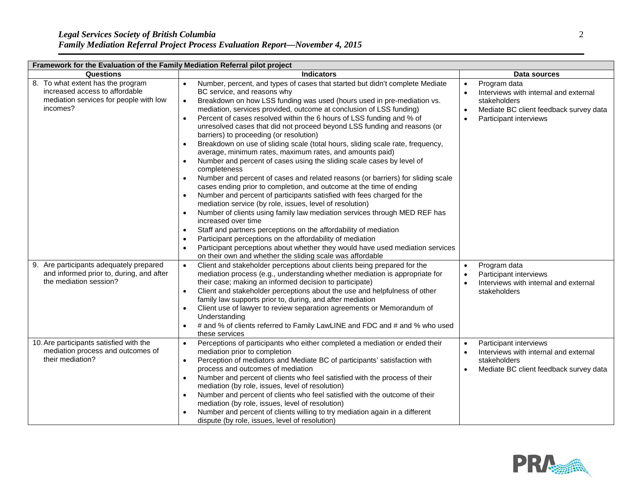| Framework for the Evaluation of the Family Mediation Referral pilot project                                               |                                                                                                                                                                                                                                                                                                                                                                                                                                                                                                                                                                                                                                                                                                                                                                                                                                                                                                                                                                                                                                                                                                                                                                                                                                                                                                                                                                                                    |                                                                                                                                                                                  |  |  |
|---------------------------------------------------------------------------------------------------------------------------|----------------------------------------------------------------------------------------------------------------------------------------------------------------------------------------------------------------------------------------------------------------------------------------------------------------------------------------------------------------------------------------------------------------------------------------------------------------------------------------------------------------------------------------------------------------------------------------------------------------------------------------------------------------------------------------------------------------------------------------------------------------------------------------------------------------------------------------------------------------------------------------------------------------------------------------------------------------------------------------------------------------------------------------------------------------------------------------------------------------------------------------------------------------------------------------------------------------------------------------------------------------------------------------------------------------------------------------------------------------------------------------------------|----------------------------------------------------------------------------------------------------------------------------------------------------------------------------------|--|--|
| Questions                                                                                                                 | <b>Indicators</b>                                                                                                                                                                                                                                                                                                                                                                                                                                                                                                                                                                                                                                                                                                                                                                                                                                                                                                                                                                                                                                                                                                                                                                                                                                                                                                                                                                                  | Data sources                                                                                                                                                                     |  |  |
| 8. To what extent has the program<br>increased access to affordable<br>mediation services for people with low<br>incomes? | Number, percent, and types of cases that started but didn't complete Mediate<br>BC service, and reasons why<br>Breakdown on how LSS funding was used (hours used in pre-mediation vs.<br>mediation, services provided, outcome at conclusion of LSS funding)<br>Percent of cases resolved within the 6 hours of LSS funding and % of<br>unresolved cases that did not proceed beyond LSS funding and reasons (or<br>barriers) to proceeding (or resolution)<br>Breakdown on use of sliding scale (total hours, sliding scale rate, frequency,<br>average, minimum rates, maximum rates, and amounts paid)<br>Number and percent of cases using the sliding scale cases by level of<br>completeness<br>Number and percent of cases and related reasons (or barriers) for sliding scale<br>cases ending prior to completion, and outcome at the time of ending<br>Number and percent of participants satisfied with fees charged for the<br>mediation service (by role, issues, level of resolution)<br>Number of clients using family law mediation services through MED REF has<br>increased over time<br>Staff and partners perceptions on the affordability of mediation<br>$\bullet$<br>Participant perceptions on the affordability of mediation<br>Participant perceptions about whether they would have used mediation services<br>on their own and whether the sliding scale was affordable | Program data<br>$\bullet$<br>Interviews with internal and external<br>stakeholders<br>Mediate BC client feedback survey data<br>$\bullet$<br>Participant interviews<br>$\bullet$ |  |  |
| 9. Are participants adequately prepared<br>and informed prior to, during, and after<br>the mediation session?             | Client and stakeholder perceptions about clients being prepared for the<br>$\bullet$<br>mediation process (e.g., understanding whether mediation is appropriate for<br>their case; making an informed decision to participate)<br>Client and stakeholder perceptions about the use and helpfulness of other<br>family law supports prior to, during, and after mediation<br>Client use of lawyer to review separation agreements or Memorandum of<br>Understanding<br># and % of clients referred to Family LawLINE and FDC and # and % who used<br>these services                                                                                                                                                                                                                                                                                                                                                                                                                                                                                                                                                                                                                                                                                                                                                                                                                                 | Program data<br>$\bullet$<br>Participant interviews<br>$\bullet$<br>Interviews with internal and external<br>stakeholders                                                        |  |  |
| 10. Are participants satisfied with the<br>mediation process and outcomes of<br>their mediation?                          | Perceptions of participants who either completed a mediation or ended their<br>$\bullet$<br>mediation prior to completion<br>Perception of mediators and Mediate BC of participants' satisfaction with<br>$\bullet$<br>process and outcomes of mediation<br>Number and percent of clients who feel satisfied with the process of their<br>mediation (by role, issues, level of resolution)<br>Number and percent of clients who feel satisfied with the outcome of their<br>mediation (by role, issues, level of resolution)<br>Number and percent of clients willing to try mediation again in a different<br>dispute (by role, issues, level of resolution)                                                                                                                                                                                                                                                                                                                                                                                                                                                                                                                                                                                                                                                                                                                                      | Participant interviews<br>$\bullet$<br>Interviews with internal and external<br>$\bullet$<br>stakeholders<br>Mediate BC client feedback survey data                              |  |  |

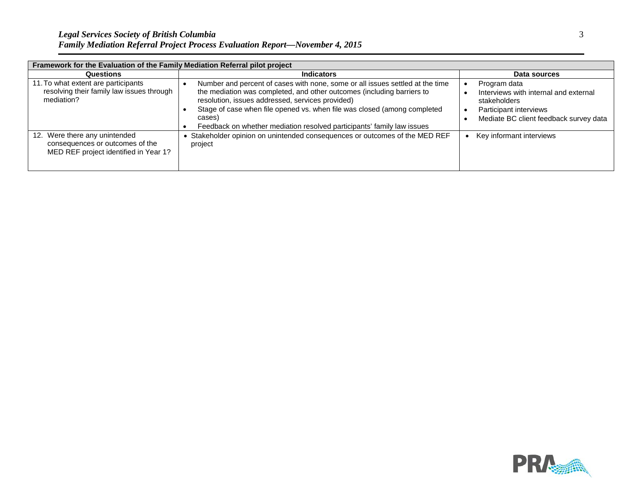| Framework for the Evaluation of the Family Mediation Referral pilot project                               |                                                                                                                                                                                                                                                                                                                                                                             |                                                                                                                                           |  |  |
|-----------------------------------------------------------------------------------------------------------|-----------------------------------------------------------------------------------------------------------------------------------------------------------------------------------------------------------------------------------------------------------------------------------------------------------------------------------------------------------------------------|-------------------------------------------------------------------------------------------------------------------------------------------|--|--|
| <b>Questions</b>                                                                                          | <b>Indicators</b>                                                                                                                                                                                                                                                                                                                                                           | Data sources                                                                                                                              |  |  |
| 11. To what extent are participants<br>resolving their family law issues through<br>mediation?            | Number and percent of cases with none, some or all issues settled at the time<br>the mediation was completed, and other outcomes (including barriers to<br>resolution, issues addressed, services provided)<br>Stage of case when file opened vs. when file was closed (among completed<br>cases)<br>Feedback on whether mediation resolved participants' family law issues | Program data<br>Interviews with internal and external<br>stakeholders<br>Participant interviews<br>Mediate BC client feedback survey data |  |  |
| 12. Were there any unintended<br>consequences or outcomes of the<br>MED REF project identified in Year 1? | Stakeholder opinion on unintended consequences or outcomes of the MED REF<br>project                                                                                                                                                                                                                                                                                        | Key informant interviews                                                                                                                  |  |  |

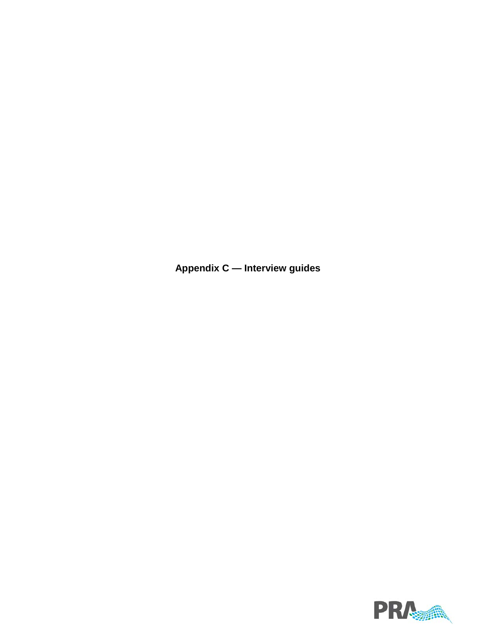**Appendix C — Interview guides**

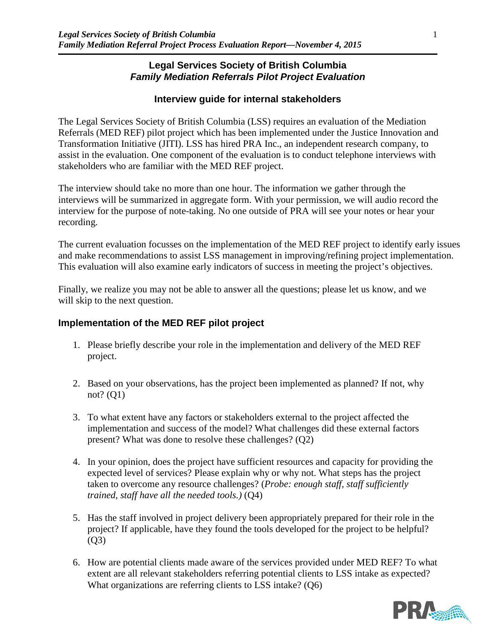## **Legal Services Society of British Columbia** *Family Mediation Referrals Pilot Project Evaluation*

## **Interview guide for internal stakeholders**

The Legal Services Society of British Columbia (LSS) requires an evaluation of the Mediation Referrals (MED REF) pilot project which has been implemented under the Justice Innovation and Transformation Initiative (JITI). LSS has hired PRA Inc., an independent research company, to assist in the evaluation. One component of the evaluation is to conduct telephone interviews with stakeholders who are familiar with the MED REF project.

The interview should take no more than one hour. The information we gather through the interviews will be summarized in aggregate form. With your permission, we will audio record the interview for the purpose of note-taking. No one outside of PRA will see your notes or hear your recording.

The current evaluation focusses on the implementation of the MED REF project to identify early issues and make recommendations to assist LSS management in improving/refining project implementation. This evaluation will also examine early indicators of success in meeting the project's objectives.

Finally, we realize you may not be able to answer all the questions; please let us know, and we will skip to the next question.

## **Implementation of the MED REF pilot project**

- 1. Please briefly describe your role in the implementation and delivery of the MED REF project.
- 2. Based on your observations, has the project been implemented as planned? If not, why not? (Q1)
- 3. To what extent have any factors or stakeholders external to the project affected the implementation and success of the model? What challenges did these external factors present? What was done to resolve these challenges? (Q2)
- 4. In your opinion, does the project have sufficient resources and capacity for providing the expected level of services? Please explain why or why not. What steps has the project taken to overcome any resource challenges? (*Probe: enough staff, staff sufficiently trained, staff have all the needed tools.)* (Q4)
- 5. Has the staff involved in project delivery been appropriately prepared for their role in the project? If applicable, have they found the tools developed for the project to be helpful?  $(O3)$
- 6. How are potential clients made aware of the services provided under MED REF? To what extent are all relevant stakeholders referring potential clients to LSS intake as expected? What organizations are referring clients to LSS intake? (Q6)

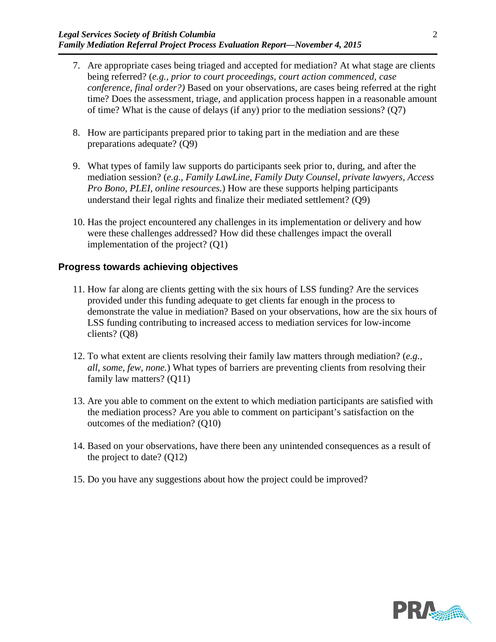- 7. Are appropriate cases being triaged and accepted for mediation? At what stage are clients being referred? (*e.g., prior to court proceedings, court action commenced, case conference, final order?)* Based on your observations, are cases being referred at the right time? Does the assessment, triage, and application process happen in a reasonable amount of time? What is the cause of delays (if any) prior to the mediation sessions? (Q7)
- 8. How are participants prepared prior to taking part in the mediation and are these preparations adequate? (Q9)
- 9. What types of family law supports do participants seek prior to, during, and after the mediation session? (*e.g., Family LawLine, Family Duty Counsel, private lawyers, Access Pro Bono, PLEI, online resources.*) How are these supports helping participants understand their legal rights and finalize their mediated settlement? (Q9)
- 10. Has the project encountered any challenges in its implementation or delivery and how were these challenges addressed? How did these challenges impact the overall implementation of the project? (Q1)

### **Progress towards achieving objectives**

- 11. How far along are clients getting with the six hours of LSS funding? Are the services provided under this funding adequate to get clients far enough in the process to demonstrate the value in mediation? Based on your observations, how are the six hours of LSS funding contributing to increased access to mediation services for low-income clients? (Q8)
- 12. To what extent are clients resolving their family law matters through mediation? (*e.g., all, some, few, none.*) What types of barriers are preventing clients from resolving their family law matters? (Q11)
- 13. Are you able to comment on the extent to which mediation participants are satisfied with the mediation process? Are you able to comment on participant's satisfaction on the outcomes of the mediation? (Q10)
- 14. Based on your observations, have there been any unintended consequences as a result of the project to date? (Q12)
- 15. Do you have any suggestions about how the project could be improved?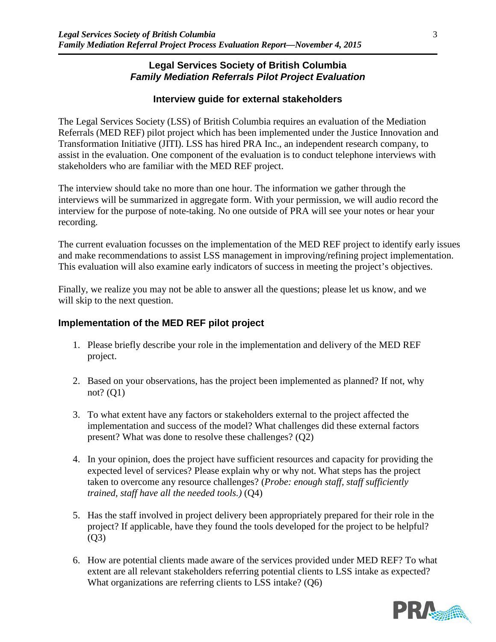## **Legal Services Society of British Columbia** *Family Mediation Referrals Pilot Project Evaluation*

## **Interview guide for external stakeholders**

The Legal Services Society (LSS) of British Columbia requires an evaluation of the Mediation Referrals (MED REF) pilot project which has been implemented under the Justice Innovation and Transformation Initiative (JITI). LSS has hired PRA Inc., an independent research company, to assist in the evaluation. One component of the evaluation is to conduct telephone interviews with stakeholders who are familiar with the MED REF project.

The interview should take no more than one hour. The information we gather through the interviews will be summarized in aggregate form. With your permission, we will audio record the interview for the purpose of note-taking. No one outside of PRA will see your notes or hear your recording.

The current evaluation focusses on the implementation of the MED REF project to identify early issues and make recommendations to assist LSS management in improving/refining project implementation. This evaluation will also examine early indicators of success in meeting the project's objectives.

Finally, we realize you may not be able to answer all the questions; please let us know, and we will skip to the next question.

## **Implementation of the MED REF pilot project**

- 1. Please briefly describe your role in the implementation and delivery of the MED REF project.
- 2. Based on your observations, has the project been implemented as planned? If not, why not? (Q1)
- 3. To what extent have any factors or stakeholders external to the project affected the implementation and success of the model? What challenges did these external factors present? What was done to resolve these challenges? (Q2)
- 4. In your opinion, does the project have sufficient resources and capacity for providing the expected level of services? Please explain why or why not. What steps has the project taken to overcome any resource challenges? (*Probe: enough staff, staff sufficiently trained, staff have all the needed tools.)* (Q4)
- 5. Has the staff involved in project delivery been appropriately prepared for their role in the project? If applicable, have they found the tools developed for the project to be helpful? (Q3)
- 6. How are potential clients made aware of the services provided under MED REF? To what extent are all relevant stakeholders referring potential clients to LSS intake as expected? What organizations are referring clients to LSS intake? (Q6)

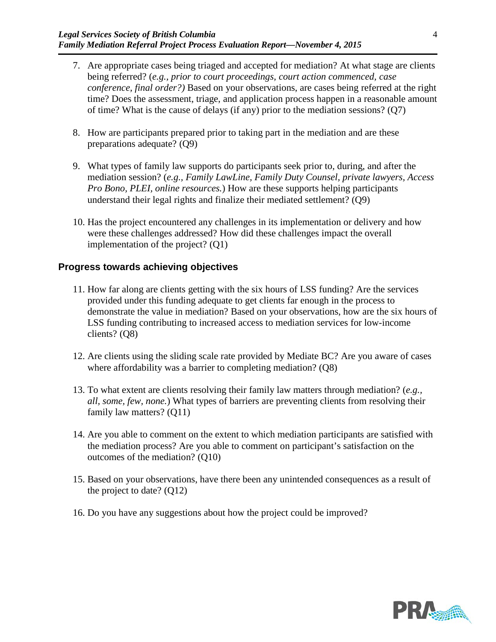- 7. Are appropriate cases being triaged and accepted for mediation? At what stage are clients being referred? (*e.g., prior to court proceedings, court action commenced, case conference, final order?)* Based on your observations, are cases being referred at the right time? Does the assessment, triage, and application process happen in a reasonable amount of time? What is the cause of delays (if any) prior to the mediation sessions? (Q7)
- 8. How are participants prepared prior to taking part in the mediation and are these preparations adequate? (Q9)
- 9. What types of family law supports do participants seek prior to, during, and after the mediation session? (*e.g., Family LawLine, Family Duty Counsel, private lawyers, Access Pro Bono, PLEI, online resources.*) How are these supports helping participants understand their legal rights and finalize their mediated settlement? (Q9)
- 10. Has the project encountered any challenges in its implementation or delivery and how were these challenges addressed? How did these challenges impact the overall implementation of the project? (Q1)

### **Progress towards achieving objectives**

- 11. How far along are clients getting with the six hours of LSS funding? Are the services provided under this funding adequate to get clients far enough in the process to demonstrate the value in mediation? Based on your observations, how are the six hours of LSS funding contributing to increased access to mediation services for low-income clients? (Q8)
- 12. Are clients using the sliding scale rate provided by Mediate BC? Are you aware of cases where affordability was a barrier to completing mediation? (Q8)
- 13. To what extent are clients resolving their family law matters through mediation? (*e.g., all, some, few, none.*) What types of barriers are preventing clients from resolving their family law matters? (Q11)
- 14. Are you able to comment on the extent to which mediation participants are satisfied with the mediation process? Are you able to comment on participant's satisfaction on the outcomes of the mediation? (Q10)
- 15. Based on your observations, have there been any unintended consequences as a result of the project to date?  $(Q12)$
- 16. Do you have any suggestions about how the project could be improved?

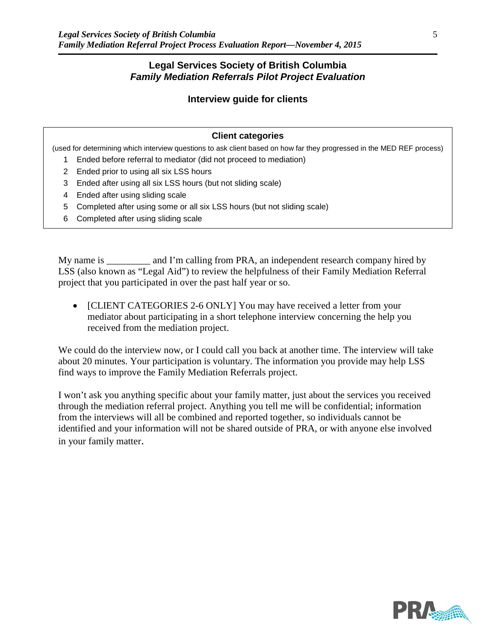### **Legal Services Society of British Columbia** *Family Mediation Referrals Pilot Project Evaluation*

#### **Interview guide for clients**

#### **Client categories**

(used for determining which interview questions to ask client based on how far they progressed in the MED REF process)

- 1 Ended before referral to mediator (did not proceed to mediation)
- 2 Ended prior to using all six LSS hours
- 3 Ended after using all six LSS hours (but not sliding scale)
- 4 Ended after using sliding scale
- 5 Completed after using some or all six LSS hours (but not sliding scale)
- 6 Completed after using sliding scale

My name is \_\_\_\_\_\_\_\_\_ and I'm calling from PRA, an independent research company hired by LSS (also known as "Legal Aid") to review the helpfulness of their Family Mediation Referral project that you participated in over the past half year or so.

• [CLIENT CATEGORIES 2-6 ONLY] You may have received a letter from your mediator about participating in a short telephone interview concerning the help you received from the mediation project.

We could do the interview now, or I could call you back at another time. The interview will take about 20 minutes. Your participation is voluntary. The information you provide may help LSS find ways to improve the Family Mediation Referrals project.

I won't ask you anything specific about your family matter, just about the services you received through the mediation referral project. Anything you tell me will be confidential; information from the interviews will all be combined and reported together, so individuals cannot be identified and your information will not be shared outside of PRA, or with anyone else involved in your family matter.

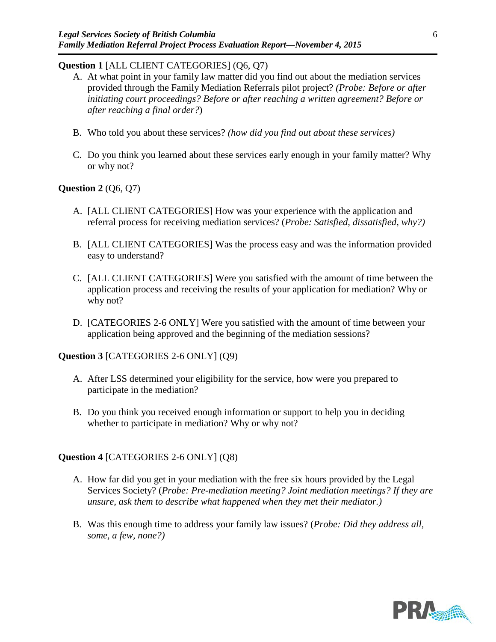### **Question 1** [ALL CLIENT CATEGORIES] (Q6, Q7)

- A. At what point in your family law matter did you find out about the mediation services provided through the Family Mediation Referrals pilot project? *(Probe: Before or after initiating court proceedings? Before or after reaching a written agreement? Before or after reaching a final order?*)
- B. Who told you about these services? *(how did you find out about these services)*
- C. Do you think you learned about these services early enough in your family matter? Why or why not?

### **Question 2** (Q6, Q7)

- A. [ALL CLIENT CATEGORIES] How was your experience with the application and referral process for receiving mediation services? (*Probe: Satisfied, dissatisfied, why?)*
- B. [ALL CLIENT CATEGORIES] Was the process easy and was the information provided easy to understand?
- C. [ALL CLIENT CATEGORIES] Were you satisfied with the amount of time between the application process and receiving the results of your application for mediation? Why or why not?
- D. [CATEGORIES 2-6 ONLY] Were you satisfied with the amount of time between your application being approved and the beginning of the mediation sessions?

## **Question 3** [CATEGORIES 2-6 ONLY] (Q9)

- A. After LSS determined your eligibility for the service, how were you prepared to participate in the mediation?
- B. Do you think you received enough information or support to help you in deciding whether to participate in mediation? Why or why not?

## **Question 4** [CATEGORIES 2-6 ONLY] (Q8)

- A. How far did you get in your mediation with the free six hours provided by the Legal Services Society? (*Probe: Pre-mediation meeting? Joint mediation meetings? If they are unsure, ask them to describe what happened when they met their mediator.)*
- B. Was this enough time to address your family law issues? (*Probe: Did they address all, some, a few, none?)*

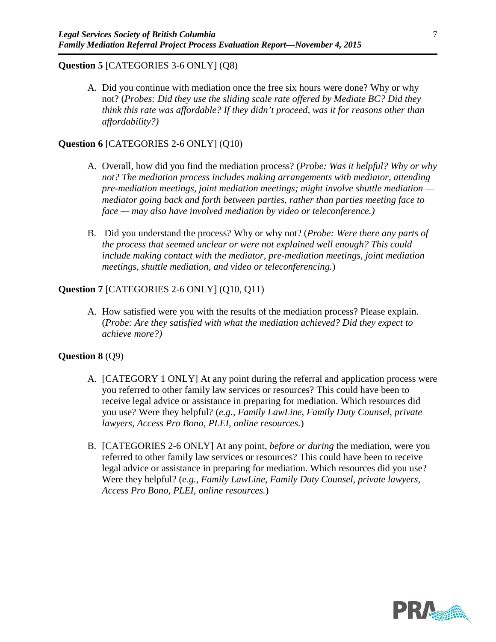#### **Question 5** [CATEGORIES 3-6 ONLY] (Q8)

A. Did you continue with mediation once the free six hours were done? Why or why not? (*Probes: Did they use the sliding scale rate offered by Mediate BC? Did they think this rate was affordable? If they didn't proceed, was it for reasons other than affordability?)*

#### **Question 6** [CATEGORIES 2-6 ONLY] (Q10)

- A. Overall, how did you find the mediation process? (*Probe: Was it helpful? Why or why not? The mediation process includes making arrangements with mediator, attending pre-mediation meetings, joint mediation meetings; might involve shuttle mediation mediator going back and forth between parties, rather than parties meeting face to face — may also have involved mediation by video or teleconference.)*
- B. Did you understand the process? Why or why not? (*Probe: Were there any parts of the process that seemed unclear or were not explained well enough? This could include making contact with the mediator, pre-mediation meetings, joint mediation meetings, shuttle mediation, and video or teleconferencing.*)

#### **Question 7** [CATEGORIES 2-6 ONLY] (Q10, Q11)

A. How satisfied were you with the results of the mediation process? Please explain. (*Probe: Are they satisfied with what the mediation achieved? Did they expect to achieve more?)*

#### **Question 8** (Q9)

- A. [CATEGORY 1 ONLY] At any point during the referral and application process were you referred to other family law services or resources? This could have been to receive legal advice or assistance in preparing for mediation. Which resources did you use? Were they helpful? (*e.g., Family LawLine, Family Duty Counsel, private lawyers, Access Pro Bono, PLEI, online resources.*)
- B. [CATEGORIES 2-6 ONLY] At any point, *before or during* the mediation, were you referred to other family law services or resources? This could have been to receive legal advice or assistance in preparing for mediation. Which resources did you use? Were they helpful? (*e.g., Family LawLine, Family Duty Counsel, private lawyers, Access Pro Bono, PLEI, online resources.*)